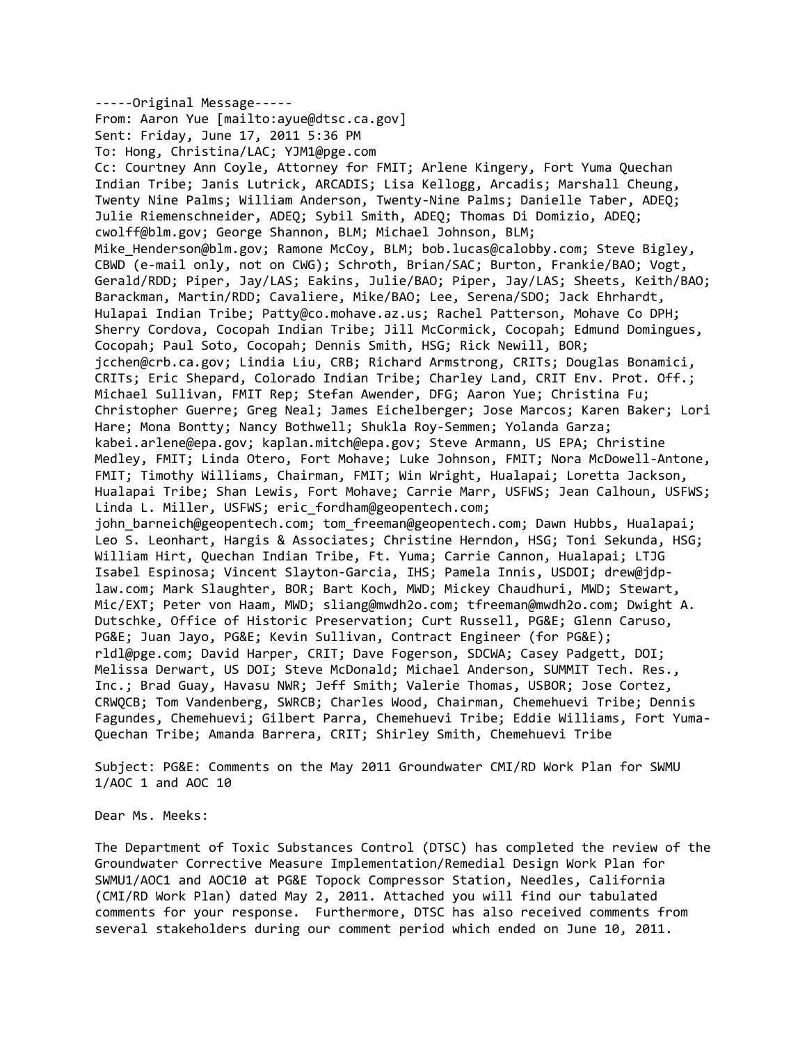‐‐‐‐‐Original Message‐‐‐‐‐ From: Aaron Yue [mailto:ayue@dtsc.ca.gov] Sent: Friday, June 17, 2011 5:36 PM To: Hong, Christina/LAC; YJM1@pge.com Cc: Courtney Ann Coyle, Attorney for FMIT; Arlene Kingery, Fort Yuma Quechan Indian Tribe; Janis Lutrick, ARCADIS; Lisa Kellogg, Arcadis; Marshall Cheung, Twenty Nine Palms; William Anderson, Twenty-Nine Palms; Danielle Taber, ADEQ; Julie Riemenschneider, ADEQ; Sybil Smith, ADEQ; Thomas Di Domizio, ADEQ; cwolff@blm.gov; George Shannon, BLM; Michael Johnson, BLM; Mike Henderson@blm.gov; Ramone McCoy, BLM; bob.lucas@calobby.com; Steve Bigley, CBWD (e‐mail only, not on CWG); Schroth, Brian/SAC; Burton, Frankie/BAO; Vogt, Gerald/RDD; Piper, Jay/LAS; Eakins, Julie/BAO; Piper, Jay/LAS; Sheets, Keith/BAO; Barackman, Martin/RDD; Cavaliere, Mike/BAO; Lee, Serena/SDO; Jack Ehrhardt, Hulapai Indian Tribe; Patty@co.mohave.az.us; Rachel Patterson, Mohave Co DPH; Sherry Cordova, Cocopah Indian Tribe; Jill McCormick, Cocopah; Edmund Domingues, Cocopah; Paul Soto, Cocopah; Dennis Smith, HSG; Rick Newill, BOR; jcchen@crb.ca.gov; Lindia Liu, CRB; Richard Armstrong, CRITs; Douglas Bonamici, CRITs; Eric Shepard, Colorado Indian Tribe; Charley Land, CRIT Env. Prot. Off.; Michael Sullivan, FMIT Rep; Stefan Awender, DFG; Aaron Yue; Christina Fu; Christopher Guerre; Greg Neal; James Eichelberger; Jose Marcos; Karen Baker; Lori Hare; Mona Bontty; Nancy Bothwell; Shukla Roy‐Semmen; Yolanda Garza; kabei.arlene@epa.gov; kaplan.mitch@epa.gov; Steve Armann, US EPA; Christine Medley, FMIT; Linda Otero, Fort Mohave; Luke Johnson, FMIT; Nora McDowell‐Antone, FMIT; Timothy Williams, Chairman, FMIT; Win Wright, Hualapai; Loretta Jackson, Hualapai Tribe; Shan Lewis, Fort Mohave; Carrie Marr, USFWS; Jean Calhoun, USFWS; Linda L. Miller, USFWS; eric fordham@geopentech.com; john barneich@geopentech.com; tom freeman@geopentech.com; Dawn Hubbs, Hualapai; Leo S. Leonhart, Hargis & Associates; Christine Herndon, HSG; Toni Sekunda, HSG; William Hirt, Quechan Indian Tribe, Ft. Yuma; Carrie Cannon, Hualapai; LTJG Isabel Espinosa; Vincent Slayton‐Garcia, IHS; Pamela Innis, USDOI; drew@jdp‐ law.com; Mark Slaughter, BOR; Bart Koch, MWD; Mickey Chaudhuri, MWD; Stewart, Mic/EXT; Peter von Haam, MWD; sliang@mwdh2o.com; tfreeman@mwdh2o.com; Dwight A. Dutschke, Office of Historic Preservation; Curt Russell, PG&E; Glenn Caruso, PG&E; Juan Jayo, PG&E; Kevin Sullivan, Contract Engineer (for PG&E); rldl@pge.com; David Harper, CRIT; Dave Fogerson, SDCWA; Casey Padgett, DOI; Melissa Derwart, US DOI; Steve McDonald; Michael Anderson, SUMMIT Tech. Res., Inc.; Brad Guay, Havasu NWR; Jeff Smith; Valerie Thomas, USBOR; Jose Cortez, CRWQCB; Tom Vandenberg, SWRCB; Charles Wood, Chairman, Chemehuevi Tribe; Dennis Fagundes, Chemehuevi; Gilbert Parra, Chemehuevi Tribe; Eddie Williams, Fort Yuma‐ Quechan Tribe; Amanda Barrera, CRIT; Shirley Smith, Chemehuevi Tribe

Subject: PG&E: Comments on the May 2011 Groundwater CMI/RD Work Plan for SWMU 1/AOC 1 and AOC 10

Dear Ms. Meeks:

The Department of Toxic Substances Control (DTSC) has completed the review of the Groundwater Corrective Measure Implementation/Remedial Design Work Plan for SWMU1/AOC1 and AOC10 at PG&E Topock Compressor Station, Needles, California (CMI/RD Work Plan) dated May 2, 2011. Attached you will find our tabulated comments for your response. Furthermore, DTSC has also received comments from several stakeholders during our comment period which ended on June 10, 2011.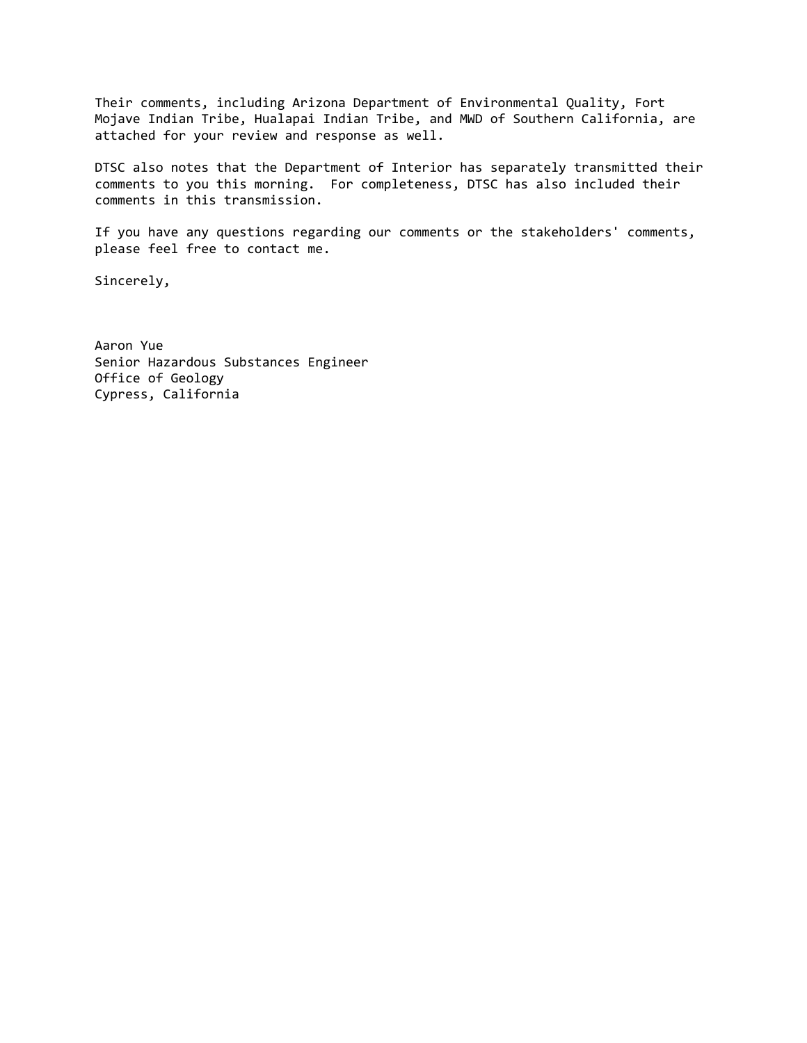Their comments, including Arizona Department of Environmental Quality, Fort Mojave Indian Tribe, Hualapai Indian Tribe, and MWD of Southern California, are attached for your review and response as well.

DTSC also notes that the Department of Interior has separately transmitted their comments to you this morning. For completeness, DTSC has also included their comments in this transmission.

If you have any questions regarding our comments or the stakeholders' comments, please feel free to contact me.

Sincerely,

Aaron Yue Senior Hazardous Substances Engineer Office of Geology Cypress, California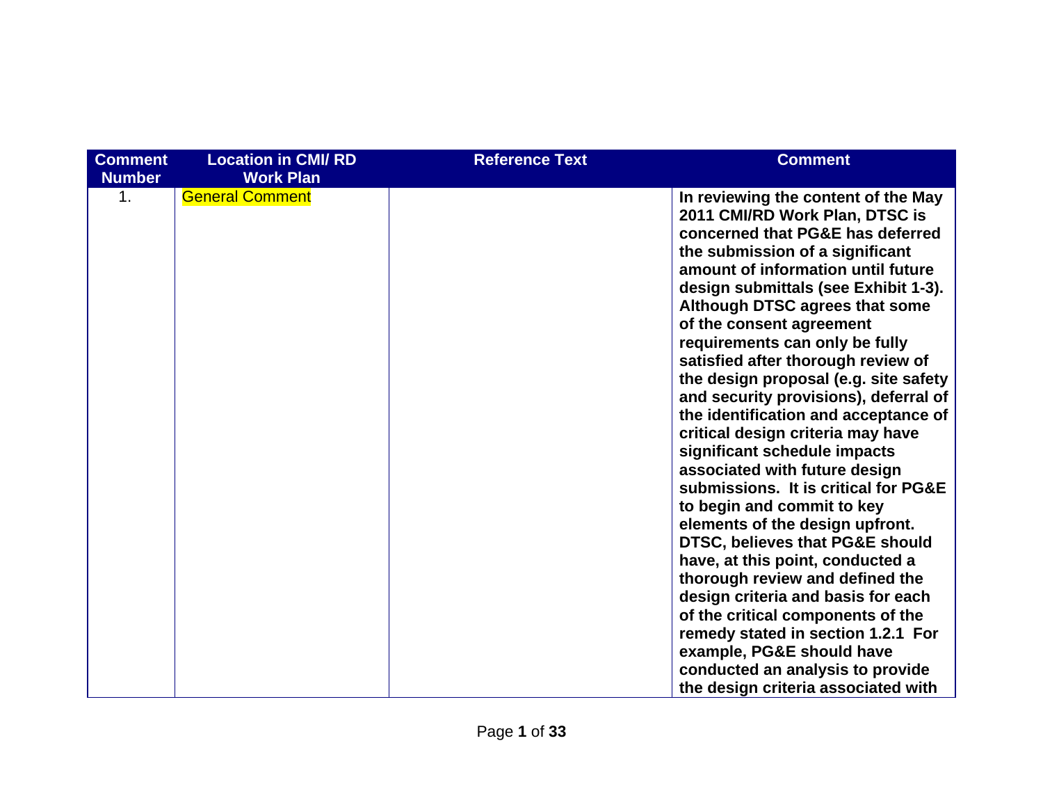| <b>Comment</b><br><b>Number</b> | <b>Location in CMI/RD</b><br><b>Work Plan</b> | <b>Reference Text</b> | <b>Comment</b>                                                                                                                                                                                                                                                                                                                                                                                                                                                                                                                                                                                                                                                                                                                                                                                                                                                                                                                                                                                                                               |
|---------------------------------|-----------------------------------------------|-----------------------|----------------------------------------------------------------------------------------------------------------------------------------------------------------------------------------------------------------------------------------------------------------------------------------------------------------------------------------------------------------------------------------------------------------------------------------------------------------------------------------------------------------------------------------------------------------------------------------------------------------------------------------------------------------------------------------------------------------------------------------------------------------------------------------------------------------------------------------------------------------------------------------------------------------------------------------------------------------------------------------------------------------------------------------------|
| 1.                              | <b>General Comment</b>                        |                       | In reviewing the content of the May<br>2011 CMI/RD Work Plan, DTSC is<br>concerned that PG&E has deferred<br>the submission of a significant<br>amount of information until future<br>design submittals (see Exhibit 1-3).<br>Although DTSC agrees that some<br>of the consent agreement<br>requirements can only be fully<br>satisfied after thorough review of<br>the design proposal (e.g. site safety<br>and security provisions), deferral of<br>the identification and acceptance of<br>critical design criteria may have<br>significant schedule impacts<br>associated with future design<br>submissions. It is critical for PG&E<br>to begin and commit to key<br>elements of the design upfront.<br>DTSC, believes that PG&E should<br>have, at this point, conducted a<br>thorough review and defined the<br>design criteria and basis for each<br>of the critical components of the<br>remedy stated in section 1.2.1 For<br>example, PG&E should have<br>conducted an analysis to provide<br>the design criteria associated with |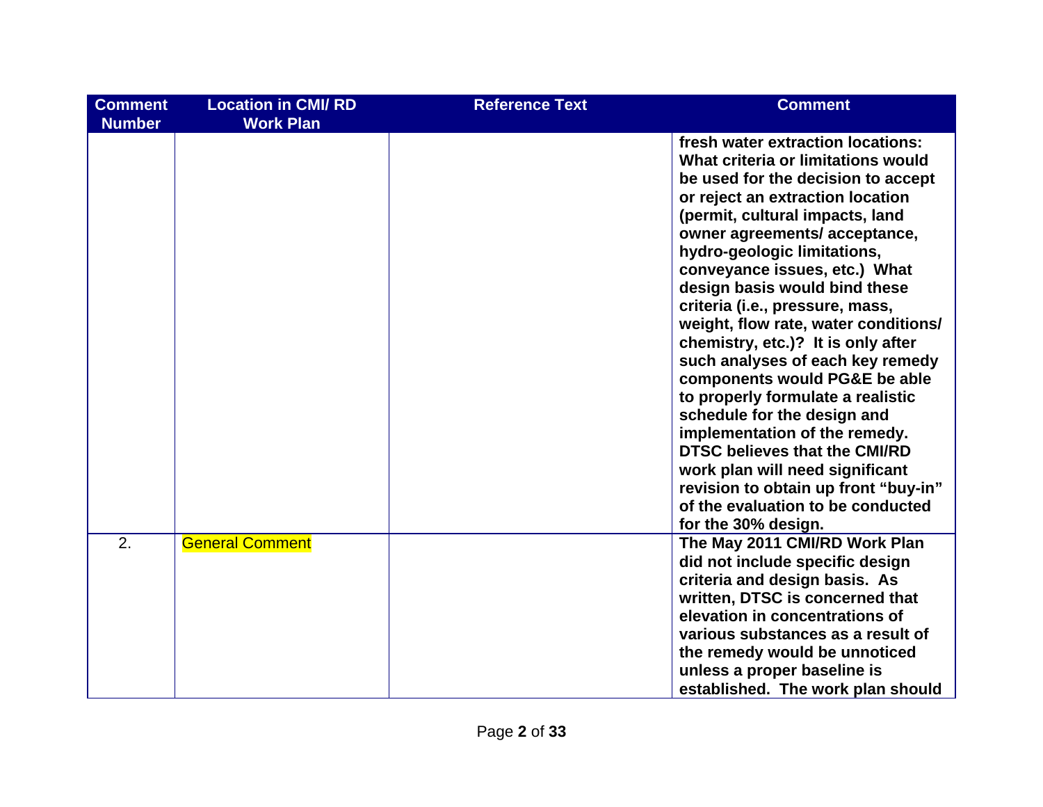| <b>Comment</b><br><b>Number</b> | <b>Location in CMI/RD</b><br><b>Work Plan</b> | <b>Reference Text</b> | <b>Comment</b>                                                                                                                                                                                                                                                                                                                                                                                                                                                                                                                                                                                                                                                                                                                                                                                  |
|---------------------------------|-----------------------------------------------|-----------------------|-------------------------------------------------------------------------------------------------------------------------------------------------------------------------------------------------------------------------------------------------------------------------------------------------------------------------------------------------------------------------------------------------------------------------------------------------------------------------------------------------------------------------------------------------------------------------------------------------------------------------------------------------------------------------------------------------------------------------------------------------------------------------------------------------|
|                                 |                                               |                       | fresh water extraction locations:<br>What criteria or limitations would<br>be used for the decision to accept<br>or reject an extraction location<br>(permit, cultural impacts, land<br>owner agreements/acceptance,<br>hydro-geologic limitations,<br>conveyance issues, etc.) What<br>design basis would bind these<br>criteria (i.e., pressure, mass,<br>weight, flow rate, water conditions/<br>chemistry, etc.)? It is only after<br>such analyses of each key remedy<br>components would PG&E be able<br>to properly formulate a realistic<br>schedule for the design and<br>implementation of the remedy.<br><b>DTSC believes that the CMI/RD</b><br>work plan will need significant<br>revision to obtain up front "buy-in"<br>of the evaluation to be conducted<br>for the 30% design. |
| 2.                              | <b>General Comment</b>                        |                       | The May 2011 CMI/RD Work Plan<br>did not include specific design<br>criteria and design basis. As<br>written, DTSC is concerned that<br>elevation in concentrations of<br>various substances as a result of<br>the remedy would be unnoticed<br>unless a proper baseline is<br>established. The work plan should                                                                                                                                                                                                                                                                                                                                                                                                                                                                                |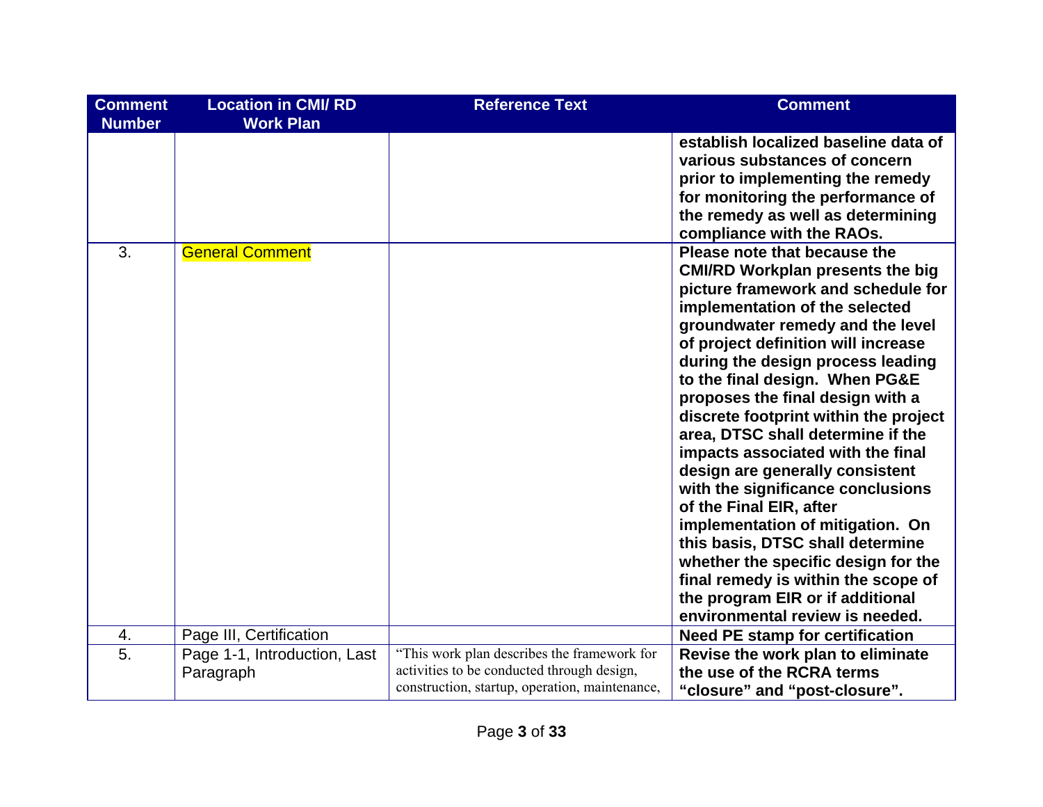| <b>Comment</b> | <b>Location in CMI/RD</b>    | <b>Reference Text</b>                                                                     | <b>Comment</b>                          |
|----------------|------------------------------|-------------------------------------------------------------------------------------------|-----------------------------------------|
| <b>Number</b>  | <b>Work Plan</b>             |                                                                                           |                                         |
|                |                              |                                                                                           | establish localized baseline data of    |
|                |                              |                                                                                           | various substances of concern           |
|                |                              |                                                                                           | prior to implementing the remedy        |
|                |                              |                                                                                           | for monitoring the performance of       |
|                |                              |                                                                                           | the remedy as well as determining       |
|                |                              |                                                                                           | compliance with the RAOs.               |
| 3.             | <b>General Comment</b>       |                                                                                           | Please note that because the            |
|                |                              |                                                                                           | <b>CMI/RD Workplan presents the big</b> |
|                |                              |                                                                                           | picture framework and schedule for      |
|                |                              |                                                                                           | implementation of the selected          |
|                |                              |                                                                                           | groundwater remedy and the level        |
|                |                              |                                                                                           | of project definition will increase     |
|                |                              |                                                                                           | during the design process leading       |
|                |                              |                                                                                           | to the final design. When PG&E          |
|                |                              |                                                                                           | proposes the final design with a        |
|                |                              |                                                                                           | discrete footprint within the project   |
|                |                              |                                                                                           | area, DTSC shall determine if the       |
|                |                              |                                                                                           | impacts associated with the final       |
|                |                              |                                                                                           | design are generally consistent         |
|                |                              |                                                                                           | with the significance conclusions       |
|                |                              |                                                                                           | of the Final EIR, after                 |
|                |                              |                                                                                           | implementation of mitigation. On        |
|                |                              |                                                                                           | this basis, DTSC shall determine        |
|                |                              |                                                                                           | whether the specific design for the     |
|                |                              |                                                                                           | final remedy is within the scope of     |
|                |                              |                                                                                           | the program EIR or if additional        |
|                |                              |                                                                                           | environmental review is needed.         |
| 4.             | Page III, Certification      |                                                                                           | <b>Need PE stamp for certification</b>  |
| 5.             | Page 1-1, Introduction, Last | "This work plan describes the framework for<br>activities to be conducted through design, | Revise the work plan to eliminate       |
|                | Paragraph                    | construction, startup, operation, maintenance,                                            | the use of the RCRA terms               |
|                |                              |                                                                                           | "closure" and "post-closure".           |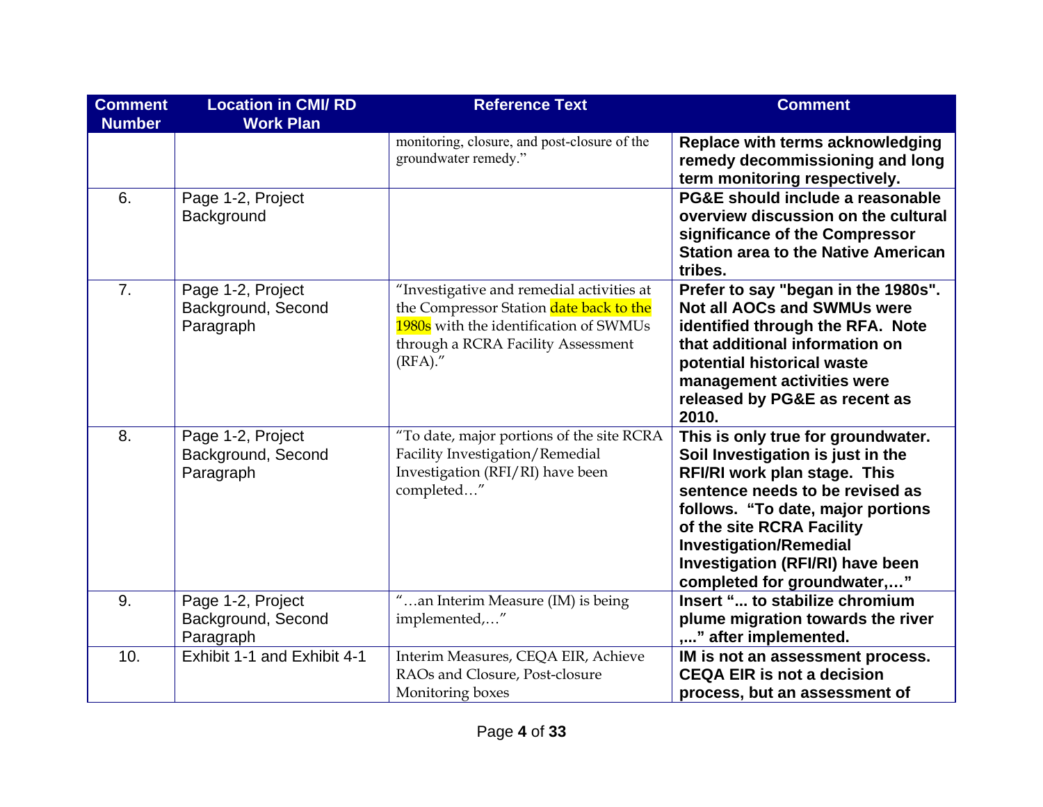| <b>Comment</b><br><b>Number</b> | <b>Location in CMI/RD</b><br><b>Work Plan</b>        | <b>Reference Text</b>                                                                                                                                                              | <b>Comment</b>                                                                                                                                                                                                                                                                                                          |
|---------------------------------|------------------------------------------------------|------------------------------------------------------------------------------------------------------------------------------------------------------------------------------------|-------------------------------------------------------------------------------------------------------------------------------------------------------------------------------------------------------------------------------------------------------------------------------------------------------------------------|
|                                 |                                                      | monitoring, closure, and post-closure of the<br>groundwater remedy."                                                                                                               | Replace with terms acknowledging<br>remedy decommissioning and long<br>term monitoring respectively.                                                                                                                                                                                                                    |
| 6.                              | Page 1-2, Project<br>Background                      |                                                                                                                                                                                    | PG&E should include a reasonable<br>overview discussion on the cultural<br>significance of the Compressor<br><b>Station area to the Native American</b><br>tribes.                                                                                                                                                      |
| $\overline{7}$ .                | Page 1-2, Project<br>Background, Second<br>Paragraph | "Investigative and remedial activities at<br>the Compressor Station date back to the<br>1980s with the identification of SWMUs<br>through a RCRA Facility Assessment<br>$(RFA)$ ." | Prefer to say "began in the 1980s".<br><b>Not all AOCs and SWMUs were</b><br>identified through the RFA. Note<br>that additional information on<br>potential historical waste<br>management activities were<br>released by PG&E as recent as<br>2010.                                                                   |
| 8.                              | Page 1-2, Project<br>Background, Second<br>Paragraph | "To date, major portions of the site RCRA<br>Facility Investigation/Remedial<br>Investigation (RFI/RI) have been<br>completed"                                                     | This is only true for groundwater.<br>Soil Investigation is just in the<br>RFI/RI work plan stage. This<br>sentence needs to be revised as<br>follows. "To date, major portions<br>of the site RCRA Facility<br><b>Investigation/Remedial</b><br><b>Investigation (RFI/RI) have been</b><br>completed for groundwater," |
| 9.                              | Page 1-2, Project<br>Background, Second<br>Paragraph | "an Interim Measure (IM) is being<br>implemented,"                                                                                                                                 | Insert " to stabilize chromium<br>plume migration towards the river<br>," after implemented.                                                                                                                                                                                                                            |
| 10.                             | Exhibit 1-1 and Exhibit 4-1                          | Interim Measures, CEQA EIR, Achieve<br>RAOs and Closure, Post-closure<br>Monitoring boxes                                                                                          | IM is not an assessment process.<br><b>CEQA EIR is not a decision</b><br>process, but an assessment of                                                                                                                                                                                                                  |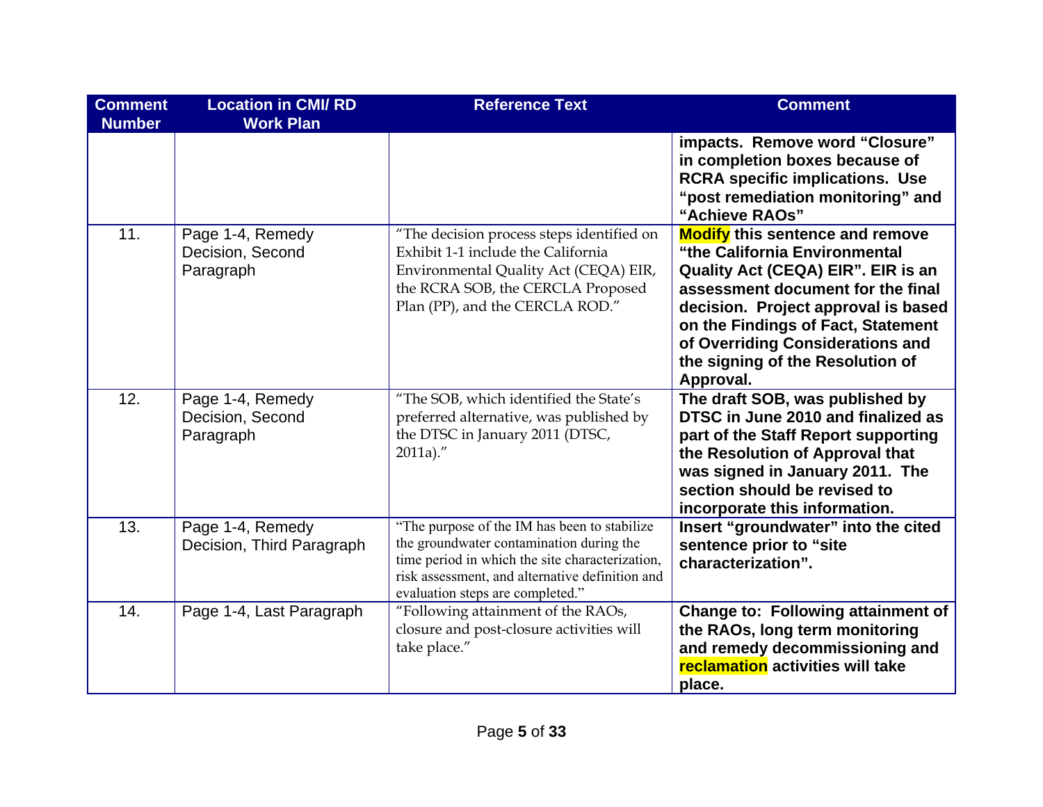| <b>Comment</b><br><b>Number</b> | <b>Location in CMI/RD</b><br><b>Work Plan</b>     | <b>Reference Text</b>                                                                                                                                                                                                              | <b>Comment</b>                                                                                                                                                                                                                                                                                                       |
|---------------------------------|---------------------------------------------------|------------------------------------------------------------------------------------------------------------------------------------------------------------------------------------------------------------------------------------|----------------------------------------------------------------------------------------------------------------------------------------------------------------------------------------------------------------------------------------------------------------------------------------------------------------------|
|                                 |                                                   |                                                                                                                                                                                                                                    | impacts. Remove word "Closure"<br>in completion boxes because of<br><b>RCRA specific implications. Use</b><br>"post remediation monitoring" and<br>"Achieve RAOs"                                                                                                                                                    |
| 11.                             | Page 1-4, Remedy<br>Decision, Second<br>Paragraph | "The decision process steps identified on<br>Exhibit 1-1 include the California<br>Environmental Quality Act (CEQA) EIR,<br>the RCRA SOB, the CERCLA Proposed<br>Plan (PP), and the CERCLA ROD."                                   | <b>Modify</b> this sentence and remove<br>"the California Environmental<br>Quality Act (CEQA) EIR". EIR is an<br>assessment document for the final<br>decision. Project approval is based<br>on the Findings of Fact, Statement<br>of Overriding Considerations and<br>the signing of the Resolution of<br>Approval. |
| 12.                             | Page 1-4, Remedy<br>Decision, Second<br>Paragraph | "The SOB, which identified the State's<br>preferred alternative, was published by<br>the DTSC in January 2011 (DTSC,<br>$2011a$ )."                                                                                                | The draft SOB, was published by<br>DTSC in June 2010 and finalized as<br>part of the Staff Report supporting<br>the Resolution of Approval that<br>was signed in January 2011. The<br>section should be revised to<br>incorporate this information.                                                                  |
| 13.                             | Page 1-4, Remedy<br>Decision, Third Paragraph     | "The purpose of the IM has been to stabilize<br>the groundwater contamination during the<br>time period in which the site characterization,<br>risk assessment, and alternative definition and<br>evaluation steps are completed." | Insert "groundwater" into the cited<br>sentence prior to "site<br>characterization".                                                                                                                                                                                                                                 |
| 14.                             | Page 1-4, Last Paragraph                          | "Following attainment of the RAOs,<br>closure and post-closure activities will<br>take place."                                                                                                                                     | <b>Change to: Following attainment of</b><br>the RAOs, long term monitoring<br>and remedy decommissioning and<br>reclamation activities will take<br>place.                                                                                                                                                          |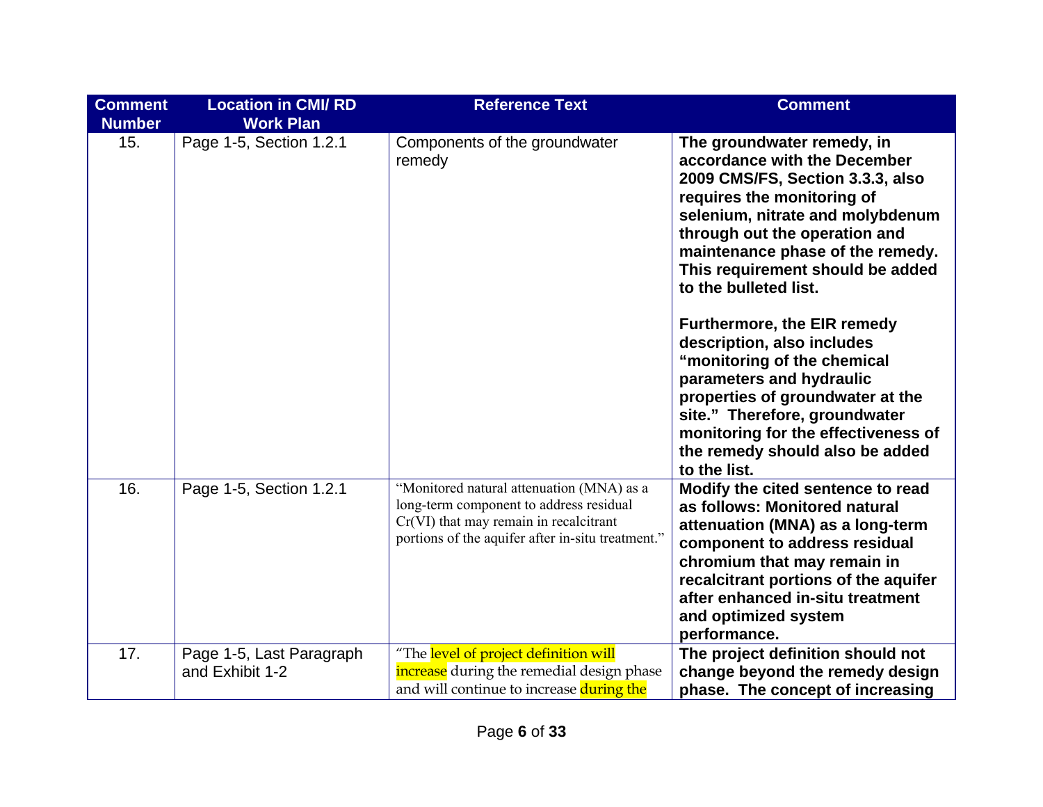| <b>Comment</b><br><b>Number</b> | <b>Location in CMI/RD</b><br><b>Work Plan</b> | <b>Reference Text</b>                                                                                                                                                               | <b>Comment</b>                                                                                                                                                                                                                                                                                                                                                                                                                                                                                                                                                                            |
|---------------------------------|-----------------------------------------------|-------------------------------------------------------------------------------------------------------------------------------------------------------------------------------------|-------------------------------------------------------------------------------------------------------------------------------------------------------------------------------------------------------------------------------------------------------------------------------------------------------------------------------------------------------------------------------------------------------------------------------------------------------------------------------------------------------------------------------------------------------------------------------------------|
| 15.                             | Page 1-5, Section 1.2.1                       | Components of the groundwater<br>remedy                                                                                                                                             | The groundwater remedy, in<br>accordance with the December<br>2009 CMS/FS, Section 3.3.3, also<br>requires the monitoring of<br>selenium, nitrate and molybdenum<br>through out the operation and<br>maintenance phase of the remedy.<br>This requirement should be added<br>to the bulleted list.<br>Furthermore, the EIR remedy<br>description, also includes<br>"monitoring of the chemical<br>parameters and hydraulic<br>properties of groundwater at the<br>site." Therefore, groundwater<br>monitoring for the effectiveness of<br>the remedy should also be added<br>to the list. |
| 16.                             | Page 1-5, Section 1.2.1                       | "Monitored natural attenuation (MNA) as a<br>long-term component to address residual<br>Cr(VI) that may remain in recalcitrant<br>portions of the aquifer after in-situ treatment." | Modify the cited sentence to read<br>as follows: Monitored natural<br>attenuation (MNA) as a long-term<br>component to address residual<br>chromium that may remain in<br>recalcitrant portions of the aquifer<br>after enhanced in-situ treatment<br>and optimized system<br>performance.                                                                                                                                                                                                                                                                                                |
| 17.                             | Page 1-5, Last Paragraph<br>and Exhibit 1-2   | "The level of project definition will<br>increase during the remedial design phase<br>and will continue to increase during the                                                      | The project definition should not<br>change beyond the remedy design<br>phase. The concept of increasing                                                                                                                                                                                                                                                                                                                                                                                                                                                                                  |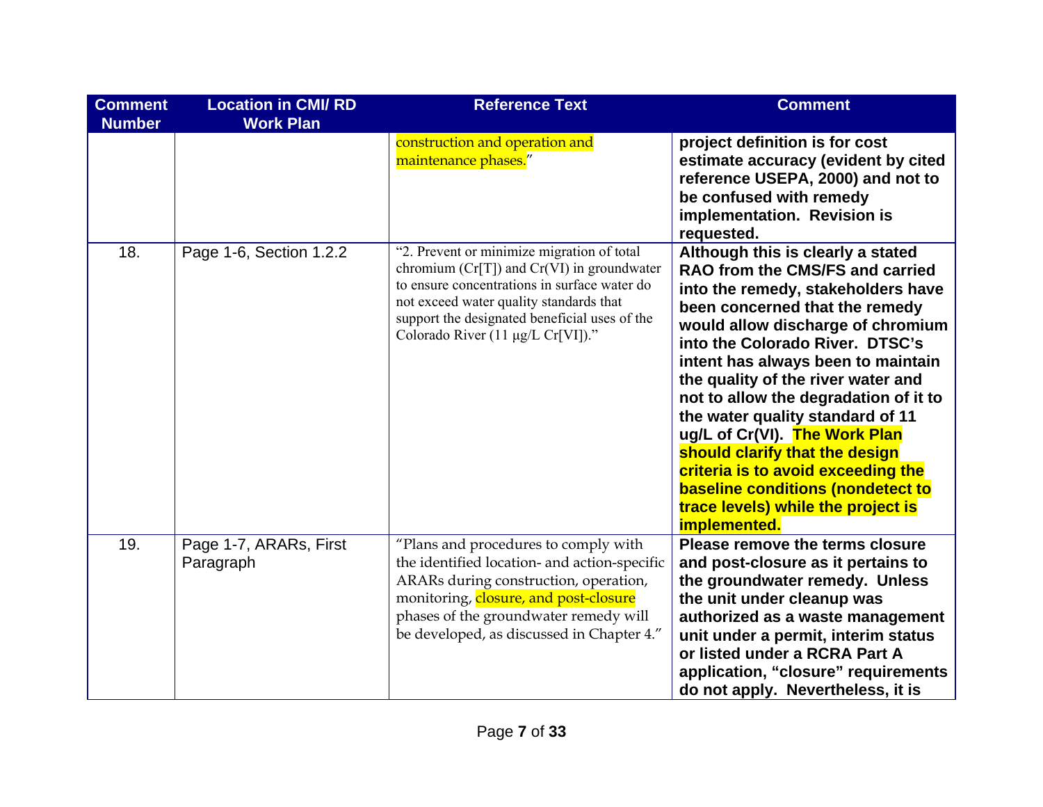| <b>Comment</b><br><b>Number</b> | <b>Location in CMI/RD</b><br><b>Work Plan</b> | <b>Reference Text</b>                                                                                                                                                                                                                                                         | <b>Comment</b>                                                                                                                                                                                                                                                                                                                                                                                                                                                                                                                                                                    |
|---------------------------------|-----------------------------------------------|-------------------------------------------------------------------------------------------------------------------------------------------------------------------------------------------------------------------------------------------------------------------------------|-----------------------------------------------------------------------------------------------------------------------------------------------------------------------------------------------------------------------------------------------------------------------------------------------------------------------------------------------------------------------------------------------------------------------------------------------------------------------------------------------------------------------------------------------------------------------------------|
|                                 |                                               | construction and operation and<br>maintenance phases."                                                                                                                                                                                                                        | project definition is for cost<br>estimate accuracy (evident by cited<br>reference USEPA, 2000) and not to<br>be confused with remedy<br>implementation. Revision is<br>requested.                                                                                                                                                                                                                                                                                                                                                                                                |
| 18.                             | Page 1-6, Section 1.2.2                       | "2. Prevent or minimize migration of total<br>chromium $(Cr[T])$ and $Cr(VI)$ in groundwater<br>to ensure concentrations in surface water do<br>not exceed water quality standards that<br>support the designated beneficial uses of the<br>Colorado River (11 µg/L Cr[VI])." | Although this is clearly a stated<br>RAO from the CMS/FS and carried<br>into the remedy, stakeholders have<br>been concerned that the remedy<br>would allow discharge of chromium<br>into the Colorado River. DTSC's<br>intent has always been to maintain<br>the quality of the river water and<br>not to allow the degradation of it to<br>the water quality standard of 11<br>ug/L of Cr(VI). The Work Plan<br>should clarify that the design<br>criteria is to avoid exceeding the<br>baseline conditions (nondetect to<br>trace levels) while the project is<br>implemented. |
| 19.                             | Page 1-7, ARARs, First<br>Paragraph           | "Plans and procedures to comply with<br>the identified location- and action-specific<br>ARARs during construction, operation,<br>monitoring, closure, and post-closure<br>phases of the groundwater remedy will<br>be developed, as discussed in Chapter 4."                  | Please remove the terms closure<br>and post-closure as it pertains to<br>the groundwater remedy. Unless<br>the unit under cleanup was<br>authorized as a waste management<br>unit under a permit, interim status<br>or listed under a RCRA Part A<br>application, "closure" requirements<br>do not apply. Nevertheless, it is                                                                                                                                                                                                                                                     |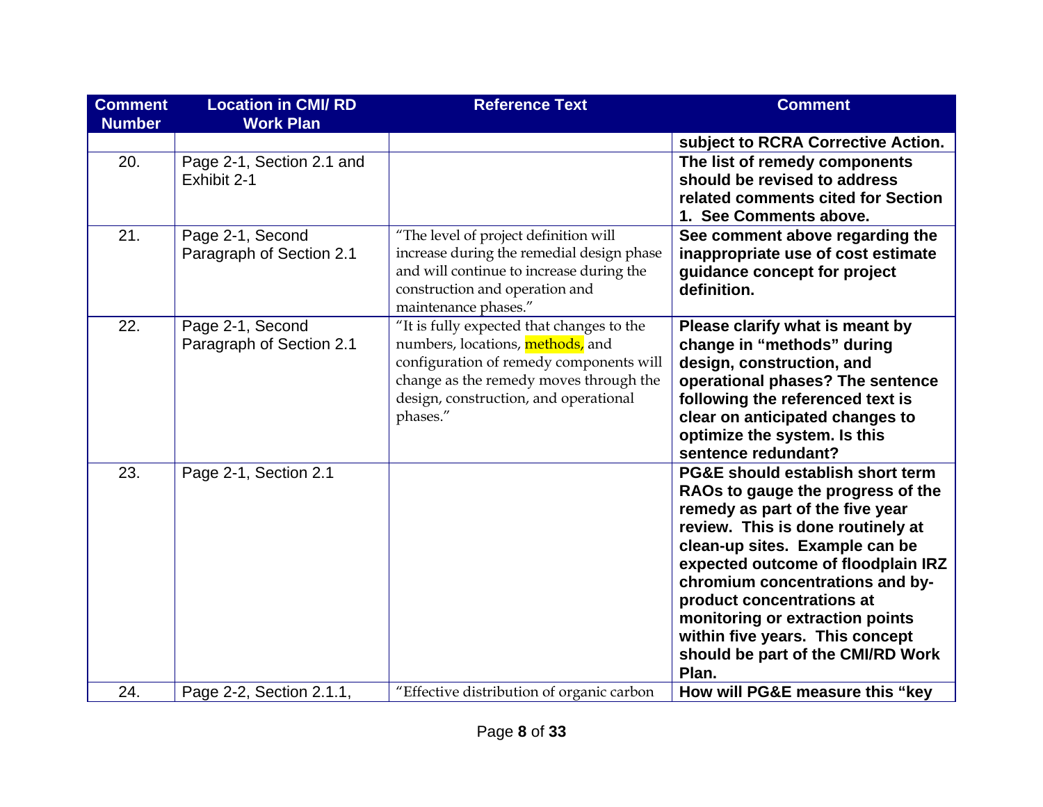| <b>Comment</b><br><b>Number</b> | <b>Location in CMI/RD</b><br><b>Work Plan</b> | <b>Reference Text</b>                                                                                                                                                                                                   | <b>Comment</b>                                                                                                                                                                                                                                                                                                                                                                                                       |
|---------------------------------|-----------------------------------------------|-------------------------------------------------------------------------------------------------------------------------------------------------------------------------------------------------------------------------|----------------------------------------------------------------------------------------------------------------------------------------------------------------------------------------------------------------------------------------------------------------------------------------------------------------------------------------------------------------------------------------------------------------------|
|                                 |                                               |                                                                                                                                                                                                                         | subject to RCRA Corrective Action.                                                                                                                                                                                                                                                                                                                                                                                   |
| 20.                             | Page 2-1, Section 2.1 and<br>Exhibit 2-1      |                                                                                                                                                                                                                         | The list of remedy components<br>should be revised to address<br>related comments cited for Section<br>1. See Comments above.                                                                                                                                                                                                                                                                                        |
| 21.                             | Page 2-1, Second<br>Paragraph of Section 2.1  | "The level of project definition will<br>increase during the remedial design phase<br>and will continue to increase during the<br>construction and operation and<br>maintenance phases."                                | See comment above regarding the<br>inappropriate use of cost estimate<br>guidance concept for project<br>definition.                                                                                                                                                                                                                                                                                                 |
| 22.                             | Page 2-1, Second<br>Paragraph of Section 2.1  | "It is fully expected that changes to the<br>numbers, locations, methods, and<br>configuration of remedy components will<br>change as the remedy moves through the<br>design, construction, and operational<br>phases." | Please clarify what is meant by<br>change in "methods" during<br>design, construction, and<br>operational phases? The sentence<br>following the referenced text is<br>clear on anticipated changes to<br>optimize the system. Is this<br>sentence redundant?                                                                                                                                                         |
| 23.                             | Page 2-1, Section 2.1                         |                                                                                                                                                                                                                         | <b>PG&amp;E should establish short term</b><br>RAOs to gauge the progress of the<br>remedy as part of the five year<br>review. This is done routinely at<br>clean-up sites. Example can be<br>expected outcome of floodplain IRZ<br>chromium concentrations and by-<br>product concentrations at<br>monitoring or extraction points<br>within five years. This concept<br>should be part of the CMI/RD Work<br>Plan. |
| 24.                             | Page 2-2, Section 2.1.1,                      | "Effective distribution of organic carbon                                                                                                                                                                               | How will PG&E measure this "key                                                                                                                                                                                                                                                                                                                                                                                      |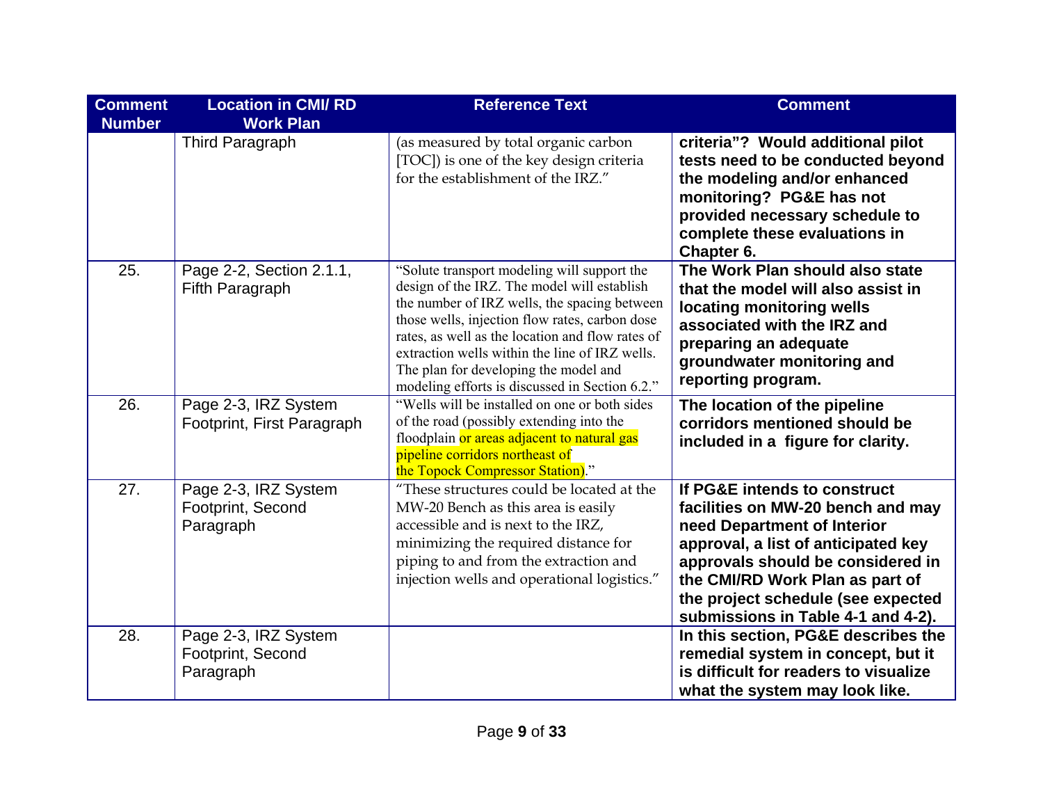| <b>Comment</b><br><b>Number</b> | <b>Location in CMI/RD</b><br><b>Work Plan</b>          | <b>Reference Text</b>                                                                                                                                                                                                                                                                                                                                                                         | <b>Comment</b>                                                                                                                                                                                                                                                                              |
|---------------------------------|--------------------------------------------------------|-----------------------------------------------------------------------------------------------------------------------------------------------------------------------------------------------------------------------------------------------------------------------------------------------------------------------------------------------------------------------------------------------|---------------------------------------------------------------------------------------------------------------------------------------------------------------------------------------------------------------------------------------------------------------------------------------------|
|                                 | <b>Third Paragraph</b>                                 | (as measured by total organic carbon<br>[TOC]) is one of the key design criteria<br>for the establishment of the IRZ."                                                                                                                                                                                                                                                                        | criteria"? Would additional pilot<br>tests need to be conducted beyond<br>the modeling and/or enhanced<br>monitoring? PG&E has not<br>provided necessary schedule to<br>complete these evaluations in<br>Chapter 6.                                                                         |
| 25.                             | Page 2-2, Section 2.1.1,<br>Fifth Paragraph            | "Solute transport modeling will support the<br>design of the IRZ. The model will establish<br>the number of IRZ wells, the spacing between<br>those wells, injection flow rates, carbon dose<br>rates, as well as the location and flow rates of<br>extraction wells within the line of IRZ wells.<br>The plan for developing the model and<br>modeling efforts is discussed in Section 6.2." | The Work Plan should also state<br>that the model will also assist in<br>locating monitoring wells<br>associated with the IRZ and<br>preparing an adequate<br>groundwater monitoring and<br>reporting program.                                                                              |
| 26.                             | Page 2-3, IRZ System<br>Footprint, First Paragraph     | "Wells will be installed on one or both sides<br>of the road (possibly extending into the<br>floodplain or areas adjacent to natural gas<br>pipeline corridors northeast of<br>the Topock Compressor Station)."                                                                                                                                                                               | The location of the pipeline<br>corridors mentioned should be<br>included in a figure for clarity.                                                                                                                                                                                          |
| 27.                             | Page 2-3, IRZ System<br>Footprint, Second<br>Paragraph | "These structures could be located at the<br>MW-20 Bench as this area is easily<br>accessible and is next to the IRZ,<br>minimizing the required distance for<br>piping to and from the extraction and<br>injection wells and operational logistics."                                                                                                                                         | If PG&E intends to construct<br>facilities on MW-20 bench and may<br>need Department of Interior<br>approval, a list of anticipated key<br>approvals should be considered in<br>the CMI/RD Work Plan as part of<br>the project schedule (see expected<br>submissions in Table 4-1 and 4-2). |
| 28.                             | Page 2-3, IRZ System<br>Footprint, Second<br>Paragraph |                                                                                                                                                                                                                                                                                                                                                                                               | In this section, PG&E describes the<br>remedial system in concept, but it<br>is difficult for readers to visualize<br>what the system may look like.                                                                                                                                        |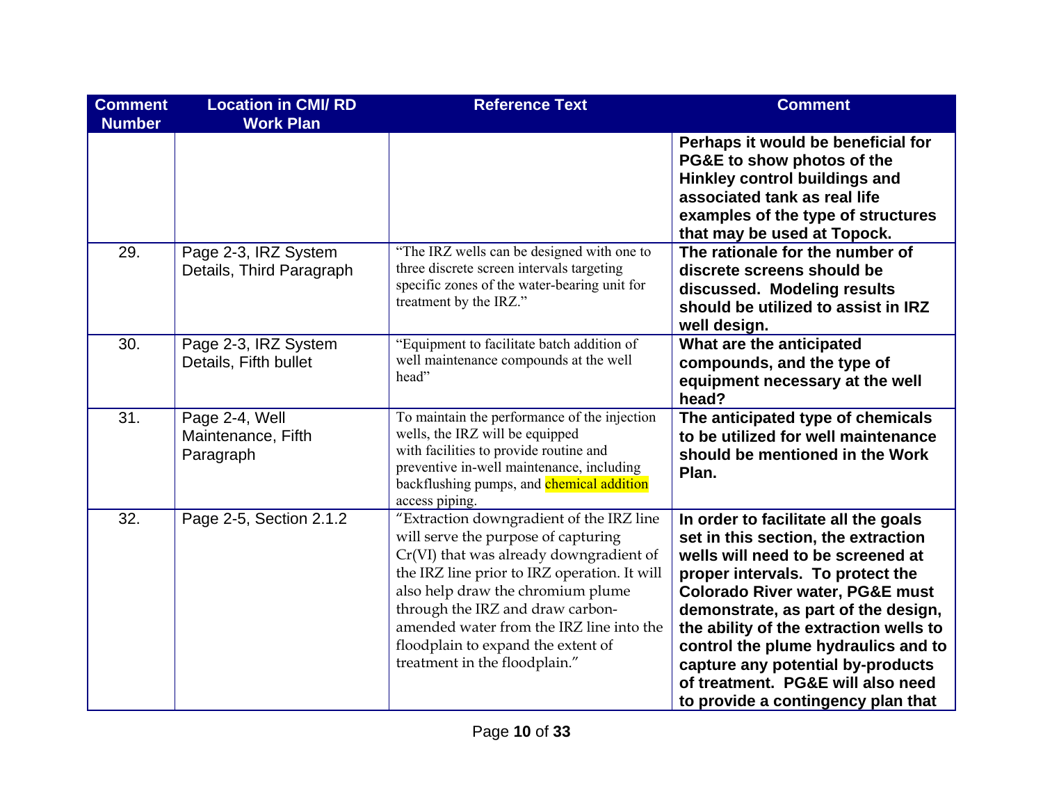| <b>Comment</b><br><b>Number</b> | <b>Location in CMI/RD</b><br><b>Work Plan</b>     | <b>Reference Text</b>                                                                                                                                                                                                                                                                                                                                                  | <b>Comment</b>                                                                                                                                                                                                                                                                                                                                                                                                                             |
|---------------------------------|---------------------------------------------------|------------------------------------------------------------------------------------------------------------------------------------------------------------------------------------------------------------------------------------------------------------------------------------------------------------------------------------------------------------------------|--------------------------------------------------------------------------------------------------------------------------------------------------------------------------------------------------------------------------------------------------------------------------------------------------------------------------------------------------------------------------------------------------------------------------------------------|
|                                 |                                                   |                                                                                                                                                                                                                                                                                                                                                                        | Perhaps it would be beneficial for<br>PG&E to show photos of the<br>Hinkley control buildings and<br>associated tank as real life<br>examples of the type of structures<br>that may be used at Topock.                                                                                                                                                                                                                                     |
| 29.                             | Page 2-3, IRZ System<br>Details, Third Paragraph  | "The IRZ wells can be designed with one to<br>three discrete screen intervals targeting<br>specific zones of the water-bearing unit for<br>treatment by the IRZ."                                                                                                                                                                                                      | The rationale for the number of<br>discrete screens should be<br>discussed. Modeling results<br>should be utilized to assist in IRZ<br>well design.                                                                                                                                                                                                                                                                                        |
| 30.                             | Page 2-3, IRZ System<br>Details, Fifth bullet     | "Equipment to facilitate batch addition of<br>well maintenance compounds at the well<br>head"                                                                                                                                                                                                                                                                          | What are the anticipated<br>compounds, and the type of<br>equipment necessary at the well<br>head?                                                                                                                                                                                                                                                                                                                                         |
| 31.                             | Page 2-4, Well<br>Maintenance, Fifth<br>Paragraph | To maintain the performance of the injection<br>wells, the IRZ will be equipped<br>with facilities to provide routine and<br>preventive in-well maintenance, including<br>backflushing pumps, and <b>chemical addition</b><br>access piping.                                                                                                                           | The anticipated type of chemicals<br>to be utilized for well maintenance<br>should be mentioned in the Work<br>Plan.                                                                                                                                                                                                                                                                                                                       |
| 32.                             | Page 2-5, Section 2.1.2                           | "Extraction downgradient of the IRZ line<br>will serve the purpose of capturing<br>Cr(VI) that was already downgradient of<br>the IRZ line prior to IRZ operation. It will<br>also help draw the chromium plume<br>through the IRZ and draw carbon-<br>amended water from the IRZ line into the<br>floodplain to expand the extent of<br>treatment in the floodplain." | In order to facilitate all the goals<br>set in this section, the extraction<br>wells will need to be screened at<br>proper intervals. To protect the<br><b>Colorado River water, PG&amp;E must</b><br>demonstrate, as part of the design,<br>the ability of the extraction wells to<br>control the plume hydraulics and to<br>capture any potential by-products<br>of treatment. PG&E will also need<br>to provide a contingency plan that |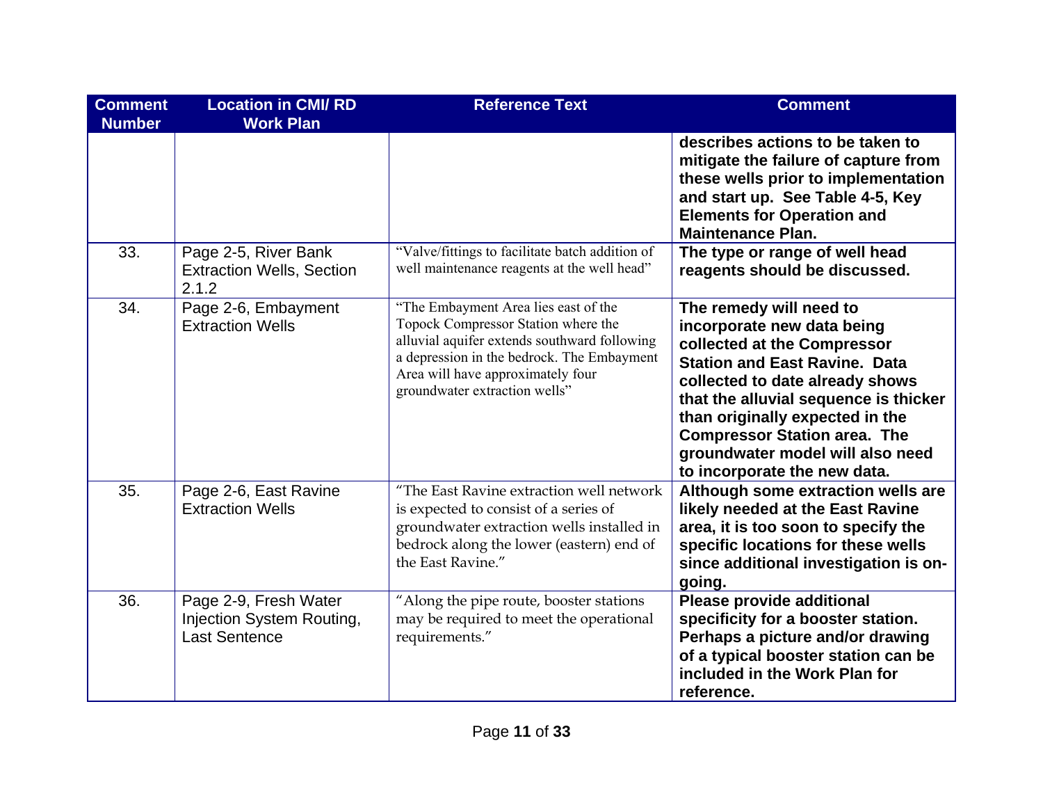| <b>Comment</b><br><b>Number</b> | <b>Location in CMI/RD</b><br><b>Work Plan</b>                              | <b>Reference Text</b>                                                                                                                                                                                                                           | <b>Comment</b>                                                                                                                                                                                                                                                                                                                                         |
|---------------------------------|----------------------------------------------------------------------------|-------------------------------------------------------------------------------------------------------------------------------------------------------------------------------------------------------------------------------------------------|--------------------------------------------------------------------------------------------------------------------------------------------------------------------------------------------------------------------------------------------------------------------------------------------------------------------------------------------------------|
|                                 |                                                                            |                                                                                                                                                                                                                                                 | describes actions to be taken to<br>mitigate the failure of capture from<br>these wells prior to implementation<br>and start up. See Table 4-5, Key<br><b>Elements for Operation and</b><br><b>Maintenance Plan.</b>                                                                                                                                   |
| 33.                             | Page 2-5, River Bank<br><b>Extraction Wells, Section</b><br>2.1.2          | "Valve/fittings to facilitate batch addition of<br>well maintenance reagents at the well head"                                                                                                                                                  | The type or range of well head<br>reagents should be discussed.                                                                                                                                                                                                                                                                                        |
| 34.                             | Page 2-6, Embayment<br><b>Extraction Wells</b>                             | "The Embayment Area lies east of the<br>Topock Compressor Station where the<br>alluvial aquifer extends southward following<br>a depression in the bedrock. The Embayment<br>Area will have approximately four<br>groundwater extraction wells" | The remedy will need to<br>incorporate new data being<br>collected at the Compressor<br><b>Station and East Ravine. Data</b><br>collected to date already shows<br>that the alluvial sequence is thicker<br>than originally expected in the<br><b>Compressor Station area. The</b><br>groundwater model will also need<br>to incorporate the new data. |
| 35.                             | Page 2-6, East Ravine<br><b>Extraction Wells</b>                           | "The East Ravine extraction well network<br>is expected to consist of a series of<br>groundwater extraction wells installed in<br>bedrock along the lower (eastern) end of<br>the East Ravine."                                                 | Although some extraction wells are<br>likely needed at the East Ravine<br>area, it is too soon to specify the<br>specific locations for these wells<br>since additional investigation is on-<br>going.                                                                                                                                                 |
| 36.                             | Page 2-9, Fresh Water<br>Injection System Routing,<br><b>Last Sentence</b> | "Along the pipe route, booster stations<br>may be required to meet the operational<br>requirements."                                                                                                                                            | <b>Please provide additional</b><br>specificity for a booster station.<br>Perhaps a picture and/or drawing<br>of a typical booster station can be<br>included in the Work Plan for<br>reference.                                                                                                                                                       |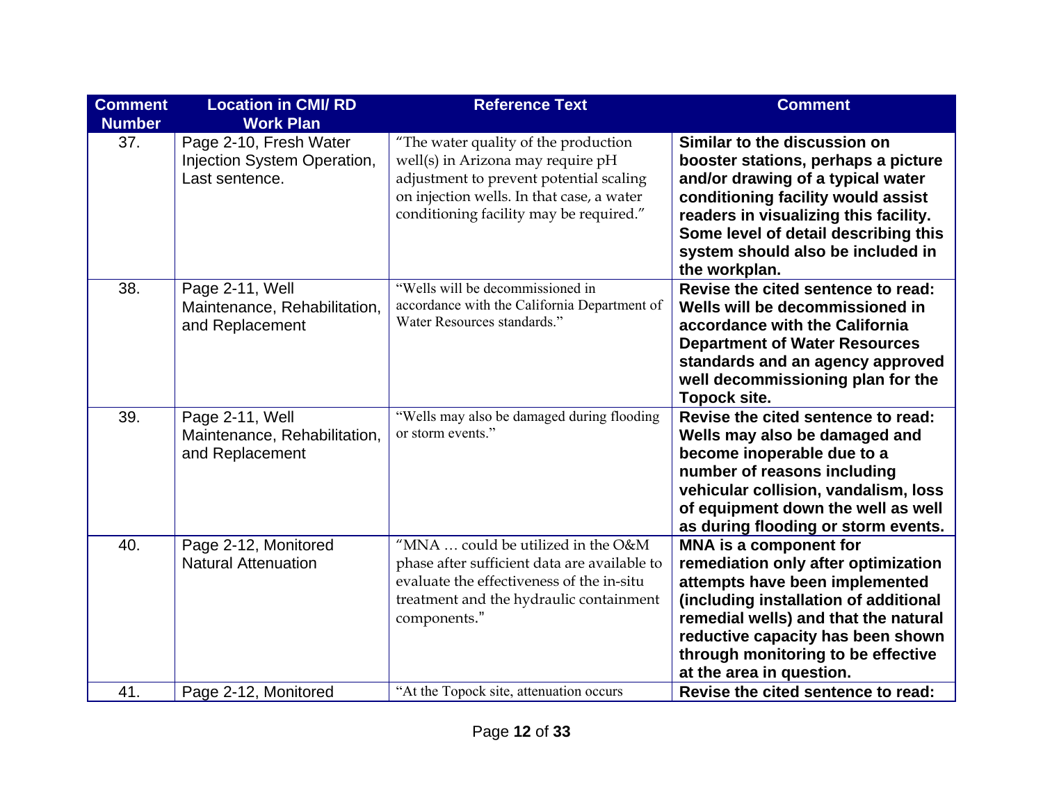| <b>Comment</b><br><b>Number</b> | <b>Location in CMI/RD</b><br><b>Work Plan</b>                           | <b>Reference Text</b>                                                                                                                                                                                        | <b>Comment</b>                                                                                                                                                                                                                                                                          |
|---------------------------------|-------------------------------------------------------------------------|--------------------------------------------------------------------------------------------------------------------------------------------------------------------------------------------------------------|-----------------------------------------------------------------------------------------------------------------------------------------------------------------------------------------------------------------------------------------------------------------------------------------|
| 37.                             | Page 2-10, Fresh Water<br>Injection System Operation,<br>Last sentence. | "The water quality of the production<br>well(s) in Arizona may require pH<br>adjustment to prevent potential scaling<br>on injection wells. In that case, a water<br>conditioning facility may be required." | Similar to the discussion on<br>booster stations, perhaps a picture<br>and/or drawing of a typical water<br>conditioning facility would assist<br>readers in visualizing this facility.<br>Some level of detail describing this<br>system should also be included in<br>the workplan.   |
| 38.                             | Page 2-11, Well<br>Maintenance, Rehabilitation,<br>and Replacement      | "Wells will be decommissioned in<br>accordance with the California Department of<br>Water Resources standards."                                                                                              | Revise the cited sentence to read:<br>Wells will be decommissioned in<br>accordance with the California<br><b>Department of Water Resources</b><br>standards and an agency approved<br>well decommissioning plan for the<br><b>Topock site.</b>                                         |
| 39.                             | Page 2-11, Well<br>Maintenance, Rehabilitation,<br>and Replacement      | "Wells may also be damaged during flooding<br>or storm events."                                                                                                                                              | Revise the cited sentence to read:<br>Wells may also be damaged and<br>become inoperable due to a<br>number of reasons including<br>vehicular collision, vandalism, loss<br>of equipment down the well as well<br>as during flooding or storm events.                                   |
| 40.                             | Page 2-12, Monitored<br><b>Natural Attenuation</b>                      | "MNA  could be utilized in the O&M<br>phase after sufficient data are available to<br>evaluate the effectiveness of the in-situ<br>treatment and the hydraulic containment<br>components."                   | MNA is a component for<br>remediation only after optimization<br>attempts have been implemented<br>(including installation of additional<br>remedial wells) and that the natural<br>reductive capacity has been shown<br>through monitoring to be effective<br>at the area in question. |
| 41.                             | Page 2-12, Monitored                                                    | "At the Topock site, attenuation occurs                                                                                                                                                                      | Revise the cited sentence to read:                                                                                                                                                                                                                                                      |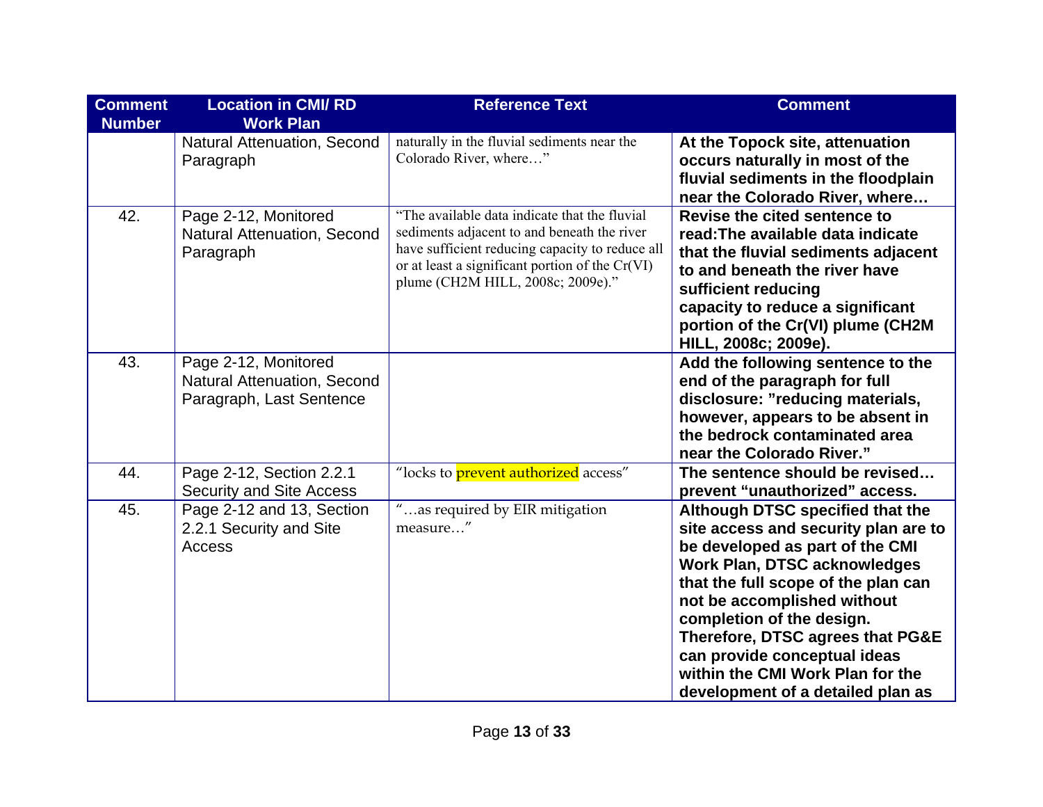| <b>Comment</b><br><b>Number</b> | <b>Location in CMI/RD</b><br><b>Work Plan</b>                                   | <b>Reference Text</b>                                                                                                                                                                                                                   | <b>Comment</b>                                                                                                                                                                                                                                                                                                                                                                                     |
|---------------------------------|---------------------------------------------------------------------------------|-----------------------------------------------------------------------------------------------------------------------------------------------------------------------------------------------------------------------------------------|----------------------------------------------------------------------------------------------------------------------------------------------------------------------------------------------------------------------------------------------------------------------------------------------------------------------------------------------------------------------------------------------------|
|                                 | Natural Attenuation, Second<br>Paragraph                                        | naturally in the fluvial sediments near the<br>Colorado River, where"                                                                                                                                                                   | At the Topock site, attenuation<br>occurs naturally in most of the<br>fluvial sediments in the floodplain<br>near the Colorado River, where                                                                                                                                                                                                                                                        |
| 42.                             | Page 2-12, Monitored<br>Natural Attenuation, Second<br>Paragraph                | "The available data indicate that the fluvial<br>sediments adjacent to and beneath the river<br>have sufficient reducing capacity to reduce all<br>or at least a significant portion of the Cr(VI)<br>plume (CH2M HILL, 2008c; 2009e)." | Revise the cited sentence to<br>read: The available data indicate<br>that the fluvial sediments adjacent<br>to and beneath the river have<br>sufficient reducing<br>capacity to reduce a significant<br>portion of the Cr(VI) plume (CH2M<br>HILL, 2008c; 2009e).                                                                                                                                  |
| 43.                             | Page 2-12, Monitored<br>Natural Attenuation, Second<br>Paragraph, Last Sentence |                                                                                                                                                                                                                                         | Add the following sentence to the<br>end of the paragraph for full<br>disclosure: "reducing materials,<br>however, appears to be absent in<br>the bedrock contaminated area<br>near the Colorado River."                                                                                                                                                                                           |
| 44.                             | Page 2-12, Section 2.2.1<br><b>Security and Site Access</b>                     | "locks to <b>prevent authorized</b> access"                                                                                                                                                                                             | The sentence should be revised<br>prevent "unauthorized" access.                                                                                                                                                                                                                                                                                                                                   |
| 45.                             | Page 2-12 and 13, Section<br>2.2.1 Security and Site<br>Access                  | "as required by EIR mitigation<br>measure"                                                                                                                                                                                              | Although DTSC specified that the<br>site access and security plan are to<br>be developed as part of the CMI<br><b>Work Plan, DTSC acknowledges</b><br>that the full scope of the plan can<br>not be accomplished without<br>completion of the design.<br>Therefore, DTSC agrees that PG&E<br>can provide conceptual ideas<br>within the CMI Work Plan for the<br>development of a detailed plan as |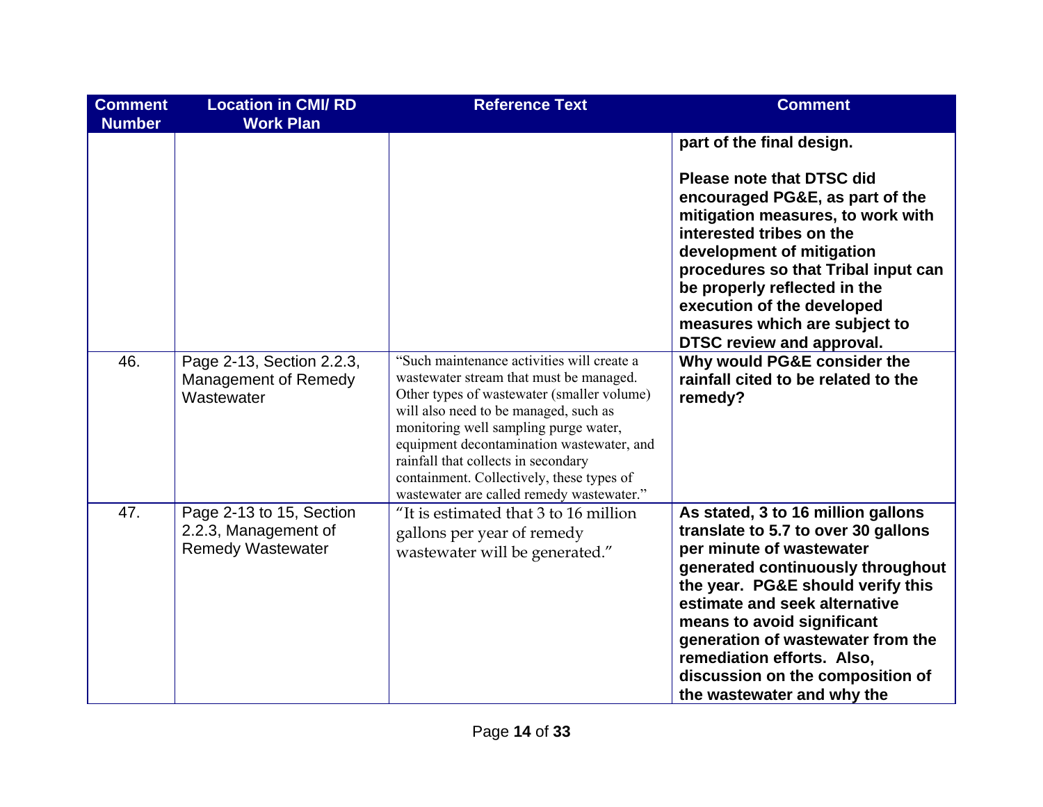| <b>Comment</b><br><b>Number</b> | <b>Location in CMI/RD</b><br><b>Work Plan</b>                                | <b>Reference Text</b>                                                                                                                                                                                                                                                                                                                                                                               | <b>Comment</b>                                                                                                                                                                                                                                                                                                                                                                      |
|---------------------------------|------------------------------------------------------------------------------|-----------------------------------------------------------------------------------------------------------------------------------------------------------------------------------------------------------------------------------------------------------------------------------------------------------------------------------------------------------------------------------------------------|-------------------------------------------------------------------------------------------------------------------------------------------------------------------------------------------------------------------------------------------------------------------------------------------------------------------------------------------------------------------------------------|
|                                 |                                                                              |                                                                                                                                                                                                                                                                                                                                                                                                     | part of the final design.<br><b>Please note that DTSC did</b><br>encouraged PG&E, as part of the<br>mitigation measures, to work with<br>interested tribes on the<br>development of mitigation<br>procedures so that Tribal input can<br>be properly reflected in the<br>execution of the developed<br>measures which are subject to<br><b>DTSC review and approval.</b>            |
| 46.                             | Page 2-13, Section 2.2.3,<br>Management of Remedy<br>Wastewater              | "Such maintenance activities will create a<br>wastewater stream that must be managed.<br>Other types of wastewater (smaller volume)<br>will also need to be managed, such as<br>monitoring well sampling purge water,<br>equipment decontamination wastewater, and<br>rainfall that collects in secondary<br>containment. Collectively, these types of<br>wastewater are called remedy wastewater." | Why would PG&E consider the<br>rainfall cited to be related to the<br>remedy?                                                                                                                                                                                                                                                                                                       |
| 47.                             | Page 2-13 to 15, Section<br>2.2.3, Management of<br><b>Remedy Wastewater</b> | "It is estimated that 3 to 16 million<br>gallons per year of remedy<br>wastewater will be generated."                                                                                                                                                                                                                                                                                               | As stated, 3 to 16 million gallons<br>translate to 5.7 to over 30 gallons<br>per minute of wastewater<br>generated continuously throughout<br>the year. PG&E should verify this<br>estimate and seek alternative<br>means to avoid significant<br>generation of wastewater from the<br>remediation efforts. Also,<br>discussion on the composition of<br>the wastewater and why the |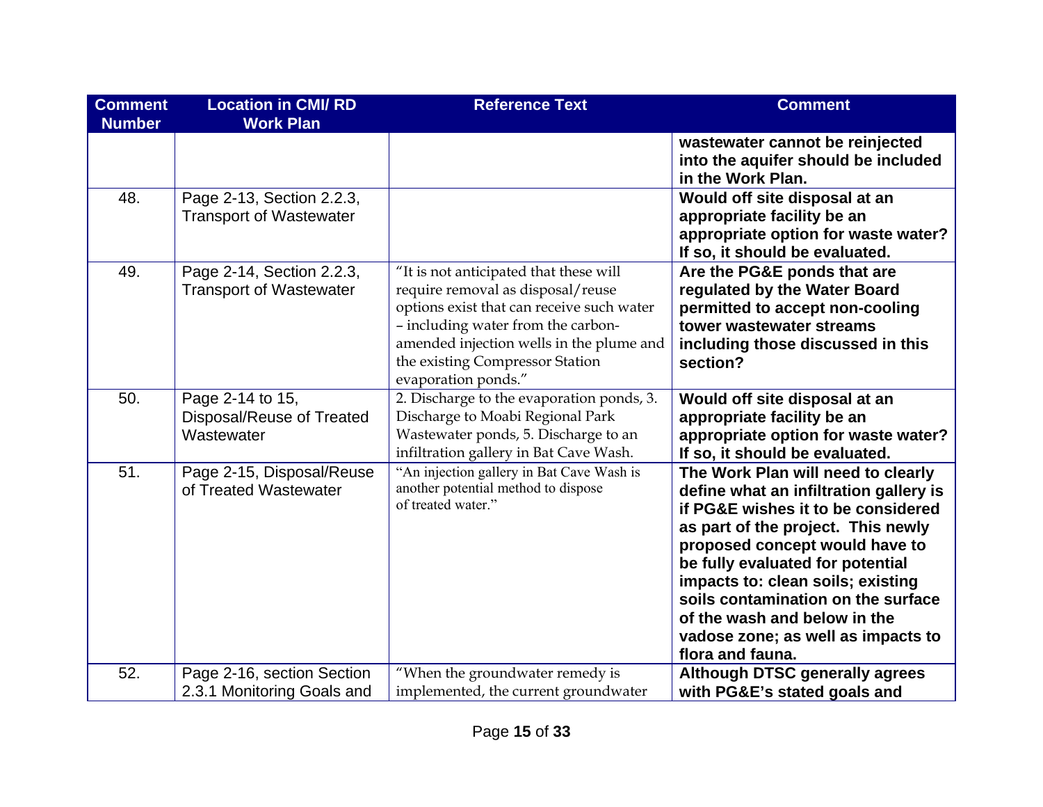| <b>Comment</b><br><b>Number</b> | <b>Location in CMI/RD</b><br><b>Work Plan</b>               | <b>Reference Text</b>                                                                                                                                                                                                                                                | <b>Comment</b>                                                                                                                                                                                                                                                                                                                                                                                      |
|---------------------------------|-------------------------------------------------------------|----------------------------------------------------------------------------------------------------------------------------------------------------------------------------------------------------------------------------------------------------------------------|-----------------------------------------------------------------------------------------------------------------------------------------------------------------------------------------------------------------------------------------------------------------------------------------------------------------------------------------------------------------------------------------------------|
|                                 |                                                             |                                                                                                                                                                                                                                                                      | wastewater cannot be reinjected<br>into the aquifer should be included<br>in the Work Plan.                                                                                                                                                                                                                                                                                                         |
| 48.                             | Page 2-13, Section 2.2.3,<br><b>Transport of Wastewater</b> |                                                                                                                                                                                                                                                                      | Would off site disposal at an<br>appropriate facility be an<br>appropriate option for waste water?<br>If so, it should be evaluated.                                                                                                                                                                                                                                                                |
| 49.                             | Page 2-14, Section 2.2.3,<br><b>Transport of Wastewater</b> | "It is not anticipated that these will<br>require removal as disposal/reuse<br>options exist that can receive such water<br>- including water from the carbon-<br>amended injection wells in the plume and<br>the existing Compressor Station<br>evaporation ponds." | Are the PG&E ponds that are<br>regulated by the Water Board<br>permitted to accept non-cooling<br>tower wastewater streams<br>including those discussed in this<br>section?                                                                                                                                                                                                                         |
| 50.                             | Page 2-14 to 15,<br>Disposal/Reuse of Treated<br>Wastewater | 2. Discharge to the evaporation ponds, 3.<br>Discharge to Moabi Regional Park<br>Wastewater ponds, 5. Discharge to an<br>infiltration gallery in Bat Cave Wash.                                                                                                      | Would off site disposal at an<br>appropriate facility be an<br>appropriate option for waste water?<br>If so, it should be evaluated.                                                                                                                                                                                                                                                                |
| 51.                             | Page 2-15, Disposal/Reuse<br>of Treated Wastewater          | "An injection gallery in Bat Cave Wash is<br>another potential method to dispose<br>of treated water."                                                                                                                                                               | The Work Plan will need to clearly<br>define what an infiltration gallery is<br>if PG&E wishes it to be considered<br>as part of the project. This newly<br>proposed concept would have to<br>be fully evaluated for potential<br>impacts to: clean soils; existing<br>soils contamination on the surface<br>of the wash and below in the<br>vadose zone; as well as impacts to<br>flora and fauna. |
| 52.                             | Page 2-16, section Section<br>2.3.1 Monitoring Goals and    | "When the groundwater remedy is<br>implemented, the current groundwater                                                                                                                                                                                              | <b>Although DTSC generally agrees</b><br>with PG&E's stated goals and                                                                                                                                                                                                                                                                                                                               |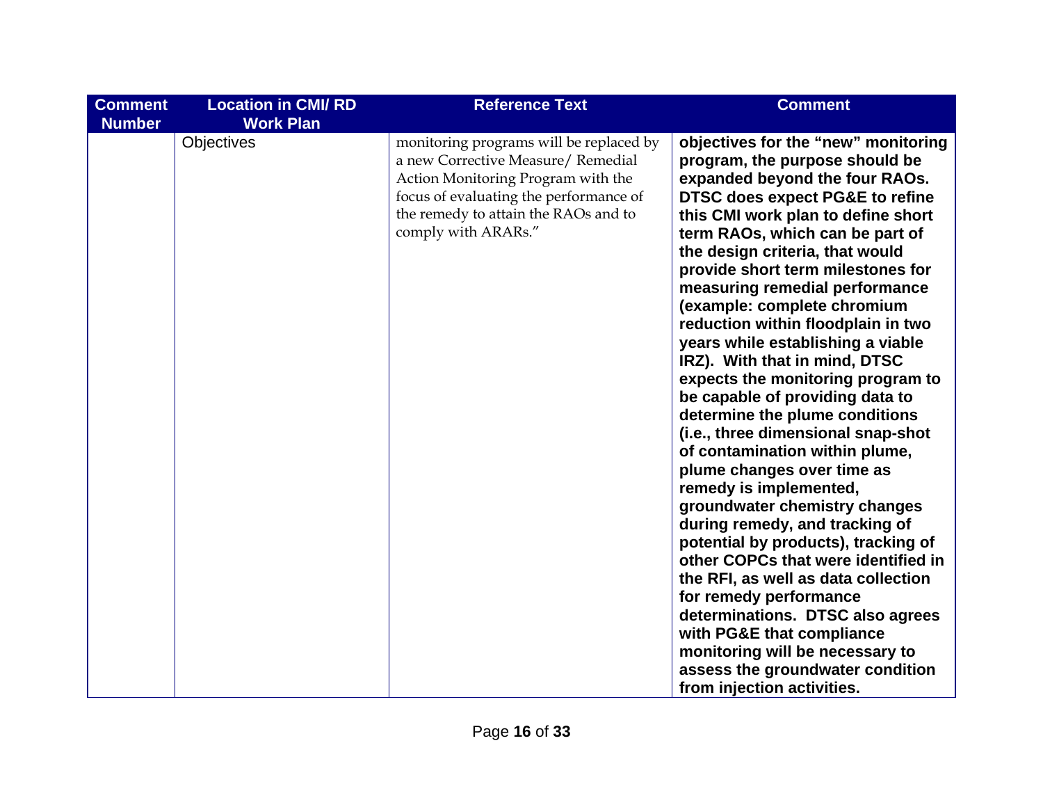| <b>Comment</b> | <b>Location in CMI/RD</b>      | <b>Reference Text</b>                                                                                                                                                                                                        | <b>Comment</b>                                                                                                                                                                                                                                                                                                                                                                                                                                                                                                                                                                                                                                                                                                                                                                                   |
|----------------|--------------------------------|------------------------------------------------------------------------------------------------------------------------------------------------------------------------------------------------------------------------------|--------------------------------------------------------------------------------------------------------------------------------------------------------------------------------------------------------------------------------------------------------------------------------------------------------------------------------------------------------------------------------------------------------------------------------------------------------------------------------------------------------------------------------------------------------------------------------------------------------------------------------------------------------------------------------------------------------------------------------------------------------------------------------------------------|
| <b>Number</b>  | <b>Work Plan</b><br>Objectives | monitoring programs will be replaced by<br>a new Corrective Measure/ Remedial<br>Action Monitoring Program with the<br>focus of evaluating the performance of<br>the remedy to attain the RAOs and to<br>comply with ARARs." | objectives for the "new" monitoring<br>program, the purpose should be<br>expanded beyond the four RAOs.<br><b>DTSC does expect PG&amp;E to refine</b><br>this CMI work plan to define short<br>term RAOs, which can be part of<br>the design criteria, that would<br>provide short term milestones for<br>measuring remedial performance<br>(example: complete chromium<br>reduction within floodplain in two<br>years while establishing a viable<br>IRZ). With that in mind, DTSC<br>expects the monitoring program to<br>be capable of providing data to<br>determine the plume conditions<br>(i.e., three dimensional snap-shot<br>of contamination within plume,<br>plume changes over time as<br>remedy is implemented,<br>groundwater chemistry changes<br>during remedy, and tracking of |
|                |                                |                                                                                                                                                                                                                              | potential by products), tracking of                                                                                                                                                                                                                                                                                                                                                                                                                                                                                                                                                                                                                                                                                                                                                              |
|                |                                |                                                                                                                                                                                                                              | other COPCs that were identified in<br>the RFI, as well as data collection<br>for remedy performance<br>determinations. DTSC also agrees                                                                                                                                                                                                                                                                                                                                                                                                                                                                                                                                                                                                                                                         |
|                |                                |                                                                                                                                                                                                                              | with PG&E that compliance<br>monitoring will be necessary to<br>assess the groundwater condition<br>from injection activities.                                                                                                                                                                                                                                                                                                                                                                                                                                                                                                                                                                                                                                                                   |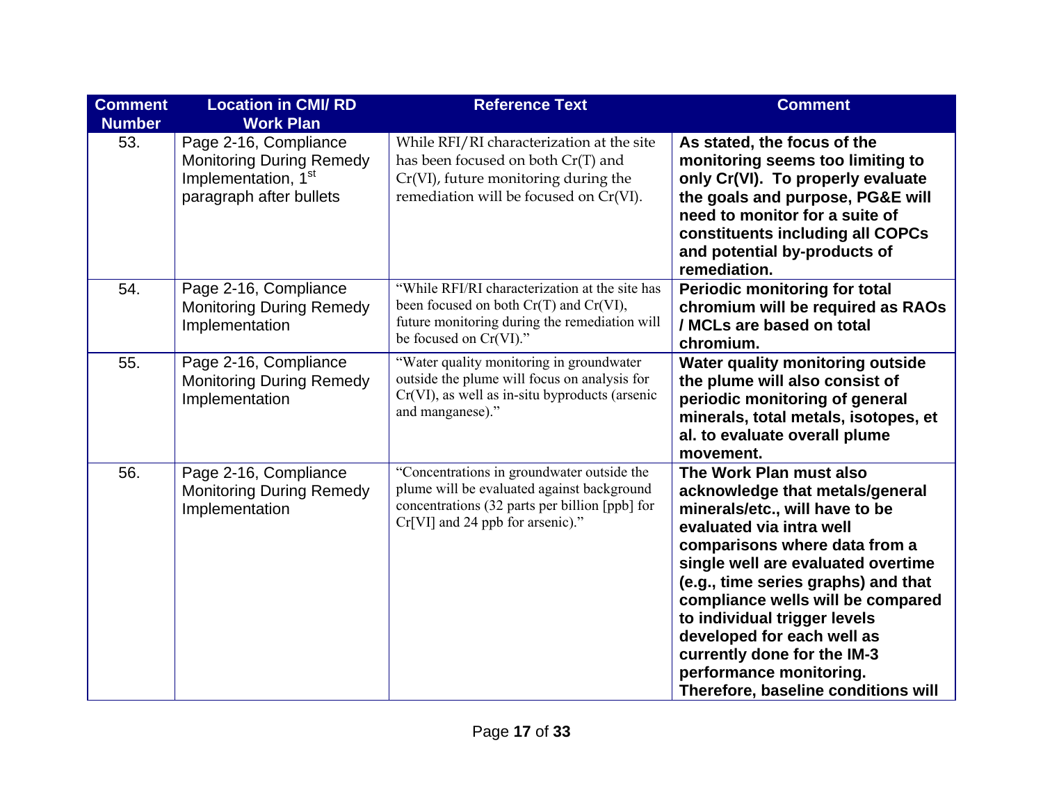| <b>Comment</b><br><b>Number</b> | <b>Location in CMI/RD</b><br><b>Work Plan</b>                                                                          | <b>Reference Text</b>                                                                                                                                                          | <b>Comment</b>                                                                                                                                                                                                                                                                                                                                                                                                                             |
|---------------------------------|------------------------------------------------------------------------------------------------------------------------|--------------------------------------------------------------------------------------------------------------------------------------------------------------------------------|--------------------------------------------------------------------------------------------------------------------------------------------------------------------------------------------------------------------------------------------------------------------------------------------------------------------------------------------------------------------------------------------------------------------------------------------|
| 53.                             | Page 2-16, Compliance<br><b>Monitoring During Remedy</b><br>Implementation, 1 <sup>st</sup><br>paragraph after bullets | While RFI/RI characterization at the site<br>has been focused on both Cr(T) and<br>Cr(VI), future monitoring during the<br>remediation will be focused on Cr(VI).              | As stated, the focus of the<br>monitoring seems too limiting to<br>only Cr(VI). To properly evaluate<br>the goals and purpose, PG&E will<br>need to monitor for a suite of<br>constituents including all COPCs<br>and potential by-products of<br>remediation.                                                                                                                                                                             |
| 54.                             | Page 2-16, Compliance<br><b>Monitoring During Remedy</b><br>Implementation                                             | "While RFI/RI characterization at the site has<br>been focused on both $Cr(T)$ and $Cr(VI)$ ,<br>future monitoring during the remediation will<br>be focused on Cr(VI)."       | <b>Periodic monitoring for total</b><br>chromium will be required as RAOs<br>/ MCLs are based on total<br>chromium.                                                                                                                                                                                                                                                                                                                        |
| 55.                             | Page 2-16, Compliance<br><b>Monitoring During Remedy</b><br>Implementation                                             | "Water quality monitoring in groundwater<br>outside the plume will focus on analysis for<br>$Cr(VI)$ , as well as in-situ byproducts (arsenic<br>and manganese)."              | Water quality monitoring outside<br>the plume will also consist of<br>periodic monitoring of general<br>minerals, total metals, isotopes, et<br>al. to evaluate overall plume<br>movement.                                                                                                                                                                                                                                                 |
| 56.                             | Page 2-16, Compliance<br><b>Monitoring During Remedy</b><br>Implementation                                             | "Concentrations in groundwater outside the<br>plume will be evaluated against background<br>concentrations (32 parts per billion [ppb] for<br>Cr[VI] and 24 ppb for arsenic)." | The Work Plan must also<br>acknowledge that metals/general<br>minerals/etc., will have to be<br>evaluated via intra well<br>comparisons where data from a<br>single well are evaluated overtime<br>(e.g., time series graphs) and that<br>compliance wells will be compared<br>to individual trigger levels<br>developed for each well as<br>currently done for the IM-3<br>performance monitoring.<br>Therefore, baseline conditions will |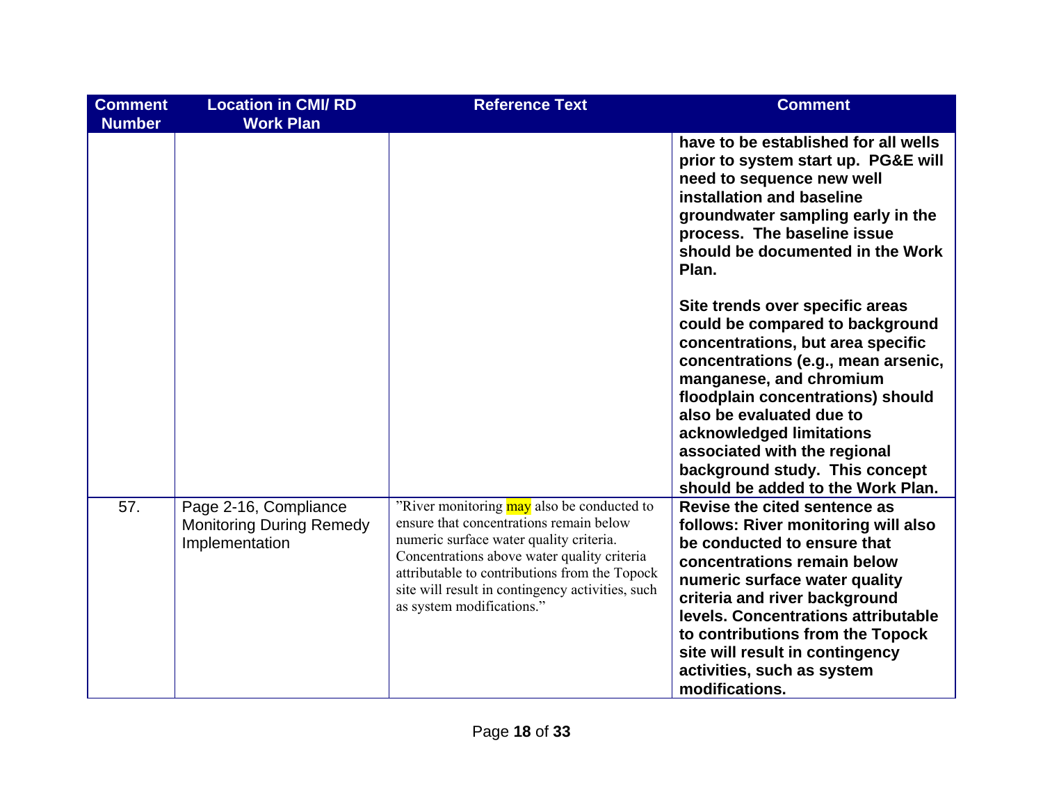| <b>Comment</b><br><b>Number</b> | <b>Location in CMI/RD</b><br><b>Work Plan</b>                              | <b>Reference Text</b>                                                                                                                                                                                                                                                                                             | <b>Comment</b>                                                                                                                                                                                                                                                                                                                                                                |
|---------------------------------|----------------------------------------------------------------------------|-------------------------------------------------------------------------------------------------------------------------------------------------------------------------------------------------------------------------------------------------------------------------------------------------------------------|-------------------------------------------------------------------------------------------------------------------------------------------------------------------------------------------------------------------------------------------------------------------------------------------------------------------------------------------------------------------------------|
|                                 |                                                                            |                                                                                                                                                                                                                                                                                                                   | have to be established for all wells<br>prior to system start up. PG&E will<br>need to sequence new well<br>installation and baseline<br>groundwater sampling early in the<br>process. The baseline issue<br>should be documented in the Work<br>Plan.                                                                                                                        |
|                                 |                                                                            |                                                                                                                                                                                                                                                                                                                   | Site trends over specific areas<br>could be compared to background<br>concentrations, but area specific<br>concentrations (e.g., mean arsenic,<br>manganese, and chromium<br>floodplain concentrations) should<br>also be evaluated due to<br>acknowledged limitations<br>associated with the regional<br>background study. This concept<br>should be added to the Work Plan. |
| 57.                             | Page 2-16, Compliance<br><b>Monitoring During Remedy</b><br>Implementation | "River monitoring may also be conducted to<br>ensure that concentrations remain below<br>numeric surface water quality criteria.<br>Concentrations above water quality criteria<br>attributable to contributions from the Topock<br>site will result in contingency activities, such<br>as system modifications." | Revise the cited sentence as<br>follows: River monitoring will also<br>be conducted to ensure that<br>concentrations remain below<br>numeric surface water quality<br>criteria and river background<br>levels. Concentrations attributable<br>to contributions from the Topock<br>site will result in contingency<br>activities, such as system<br>modifications.             |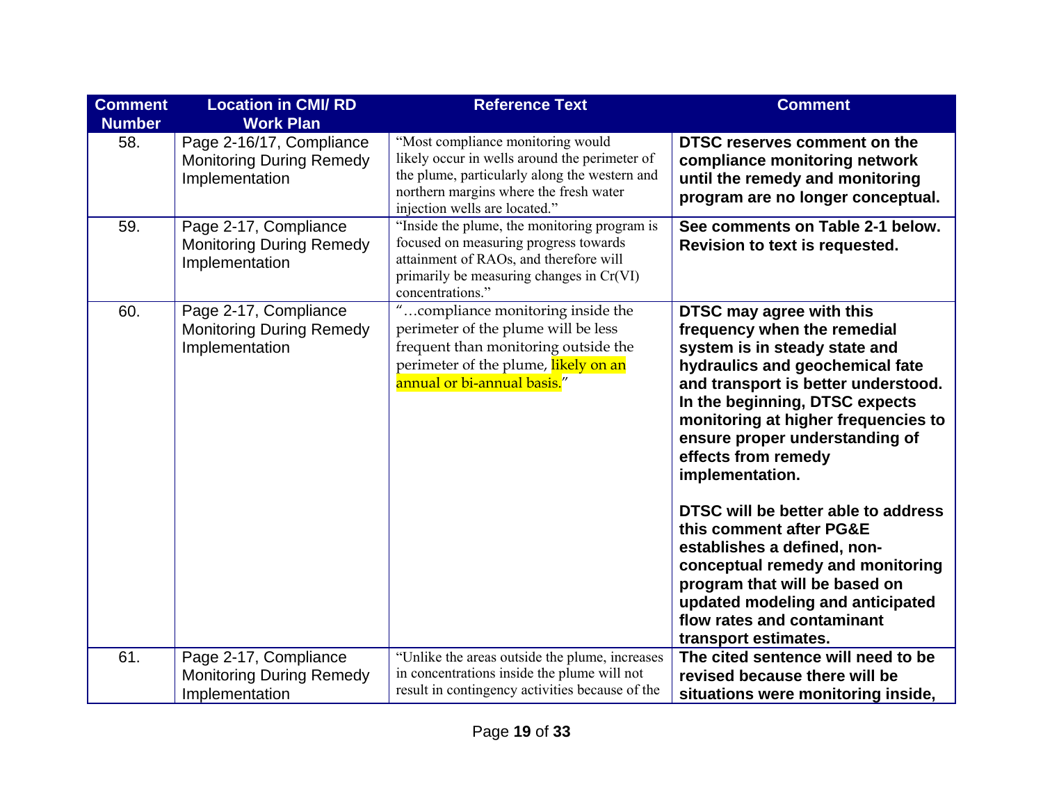| <b>Comment</b><br><b>Number</b> | <b>Location in CMI/RD</b><br><b>Work Plan</b>                                 | <b>Reference Text</b>                                                                                                                                                                                          | <b>Comment</b>                                                                                                                                                                                                                                                                                                                                                                                                                                                                                                                                                                          |
|---------------------------------|-------------------------------------------------------------------------------|----------------------------------------------------------------------------------------------------------------------------------------------------------------------------------------------------------------|-----------------------------------------------------------------------------------------------------------------------------------------------------------------------------------------------------------------------------------------------------------------------------------------------------------------------------------------------------------------------------------------------------------------------------------------------------------------------------------------------------------------------------------------------------------------------------------------|
| 58.                             | Page 2-16/17, Compliance<br><b>Monitoring During Remedy</b><br>Implementation | "Most compliance monitoring would<br>likely occur in wells around the perimeter of<br>the plume, particularly along the western and<br>northern margins where the fresh water<br>injection wells are located." | DTSC reserves comment on the<br>compliance monitoring network<br>until the remedy and monitoring<br>program are no longer conceptual.                                                                                                                                                                                                                                                                                                                                                                                                                                                   |
| 59.                             | Page 2-17, Compliance<br><b>Monitoring During Remedy</b><br>Implementation    | "Inside the plume, the monitoring program is<br>focused on measuring progress towards<br>attainment of RAOs, and therefore will<br>primarily be measuring changes in Cr(VI)<br>concentrations."                | See comments on Table 2-1 below.<br>Revision to text is requested.                                                                                                                                                                                                                                                                                                                                                                                                                                                                                                                      |
| 60.                             | Page 2-17, Compliance<br><b>Monitoring During Remedy</b><br>Implementation    | "compliance monitoring inside the<br>perimeter of the plume will be less<br>frequent than monitoring outside the<br>perimeter of the plume, likely on an<br>annual or bi-annual basis."                        | DTSC may agree with this<br>frequency when the remedial<br>system is in steady state and<br>hydraulics and geochemical fate<br>and transport is better understood.<br>In the beginning, DTSC expects<br>monitoring at higher frequencies to<br>ensure proper understanding of<br>effects from remedy<br>implementation.<br>DTSC will be better able to address<br>this comment after PG&E<br>establishes a defined, non-<br>conceptual remedy and monitoring<br>program that will be based on<br>updated modeling and anticipated<br>flow rates and contaminant<br>transport estimates. |
| 61.                             | Page 2-17, Compliance                                                         | "Unlike the areas outside the plume, increases<br>in concentrations inside the plume will not                                                                                                                  | The cited sentence will need to be                                                                                                                                                                                                                                                                                                                                                                                                                                                                                                                                                      |
|                                 | <b>Monitoring During Remedy</b><br>Implementation                             | result in contingency activities because of the                                                                                                                                                                | revised because there will be<br>situations were monitoring inside,                                                                                                                                                                                                                                                                                                                                                                                                                                                                                                                     |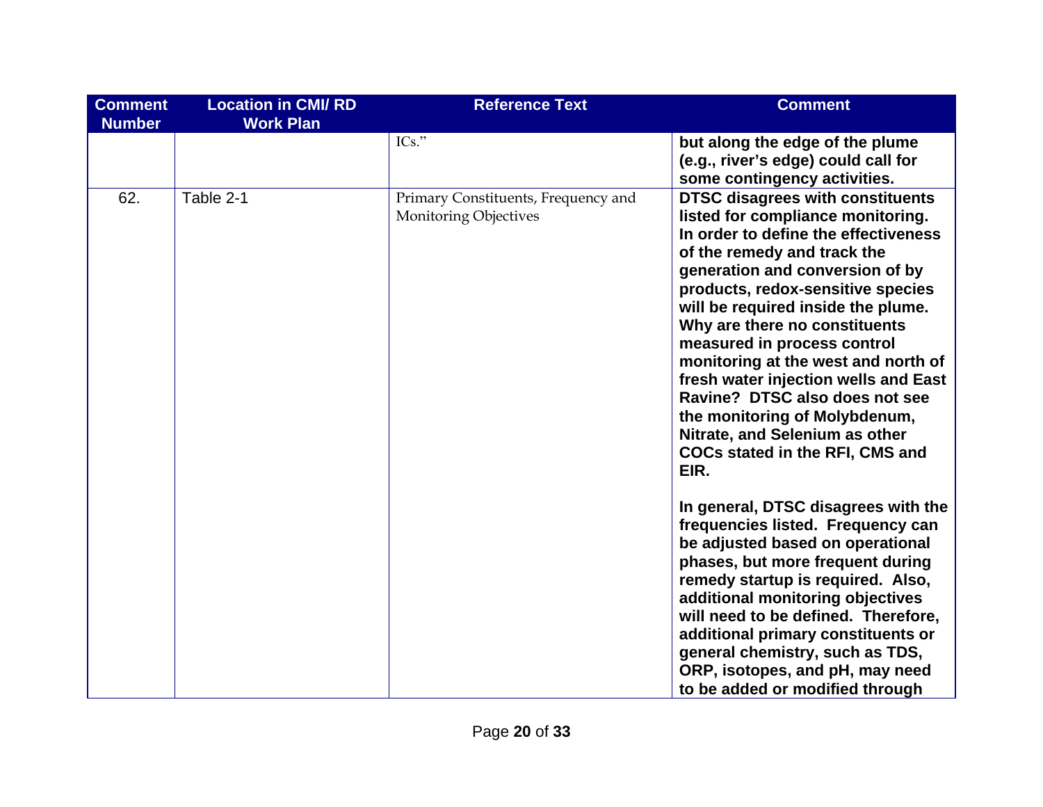| <b>Comment</b><br><b>Number</b> | <b>Location in CMI/RD</b><br><b>Work Plan</b> | <b>Reference Text</b>                                               | <b>Comment</b>                                                                                                                                                                                                                                                                                                                                                                                                                                                                                                                                                          |
|---------------------------------|-----------------------------------------------|---------------------------------------------------------------------|-------------------------------------------------------------------------------------------------------------------------------------------------------------------------------------------------------------------------------------------------------------------------------------------------------------------------------------------------------------------------------------------------------------------------------------------------------------------------------------------------------------------------------------------------------------------------|
|                                 |                                               | $ICs.$ "                                                            | but along the edge of the plume<br>(e.g., river's edge) could call for<br>some contingency activities.                                                                                                                                                                                                                                                                                                                                                                                                                                                                  |
| 62.                             | Table 2-1                                     | Primary Constituents, Frequency and<br><b>Monitoring Objectives</b> | <b>DTSC disagrees with constituents</b><br>listed for compliance monitoring.<br>In order to define the effectiveness<br>of the remedy and track the<br>generation and conversion of by<br>products, redox-sensitive species<br>will be required inside the plume.<br>Why are there no constituents<br>measured in process control<br>monitoring at the west and north of<br>fresh water injection wells and East<br>Ravine? DTSC also does not see<br>the monitoring of Molybdenum,<br>Nitrate, and Selenium as other<br><b>COCs stated in the RFI, CMS and</b><br>EIR. |
|                                 |                                               |                                                                     | In general, DTSC disagrees with the<br>frequencies listed. Frequency can<br>be adjusted based on operational<br>phases, but more frequent during<br>remedy startup is required. Also,<br>additional monitoring objectives<br>will need to be defined. Therefore,<br>additional primary constituents or<br>general chemistry, such as TDS,<br>ORP, isotopes, and pH, may need<br>to be added or modified through                                                                                                                                                         |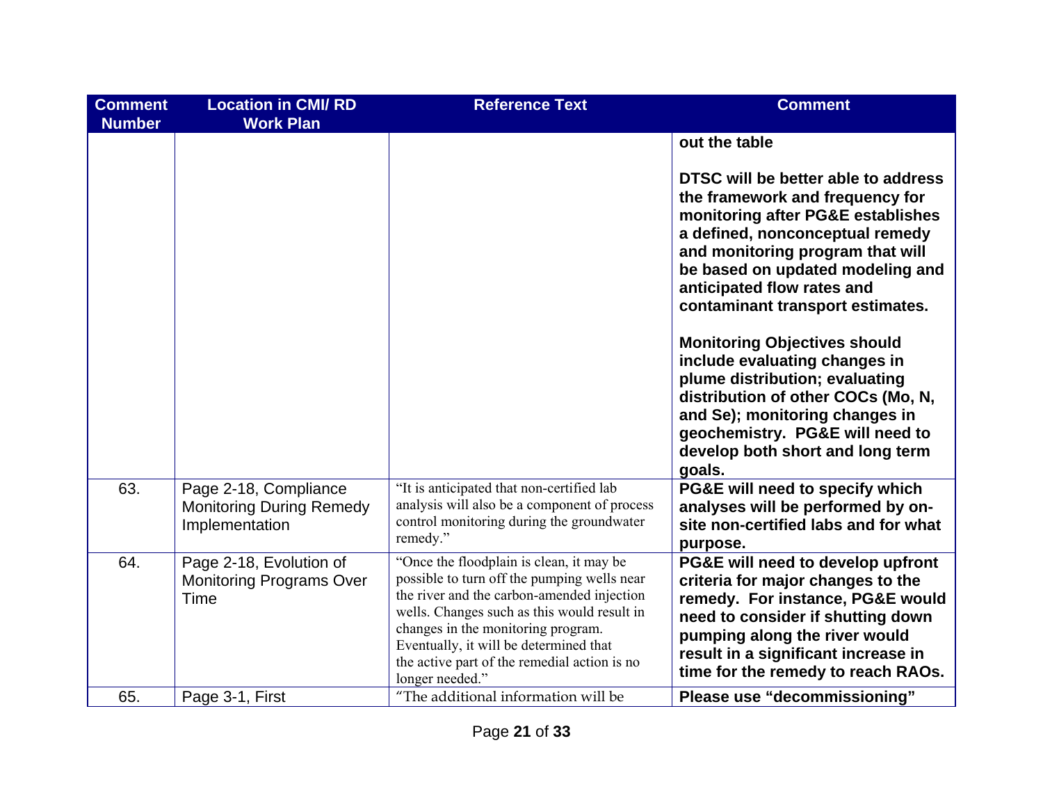| <b>Comment</b><br><b>Number</b> | <b>Location in CMI/RD</b><br><b>Work Plan</b>                              | <b>Reference Text</b>                                                                                                                                                                                                                                                                                                                   | <b>Comment</b>                                                                                                                                                                                                                                                                                                                                                                                                                                                                                                                                                               |
|---------------------------------|----------------------------------------------------------------------------|-----------------------------------------------------------------------------------------------------------------------------------------------------------------------------------------------------------------------------------------------------------------------------------------------------------------------------------------|------------------------------------------------------------------------------------------------------------------------------------------------------------------------------------------------------------------------------------------------------------------------------------------------------------------------------------------------------------------------------------------------------------------------------------------------------------------------------------------------------------------------------------------------------------------------------|
|                                 |                                                                            |                                                                                                                                                                                                                                                                                                                                         | out the table<br>DTSC will be better able to address<br>the framework and frequency for<br>monitoring after PG&E establishes<br>a defined, nonconceptual remedy<br>and monitoring program that will<br>be based on updated modeling and<br>anticipated flow rates and<br>contaminant transport estimates.<br><b>Monitoring Objectives should</b><br>include evaluating changes in<br>plume distribution; evaluating<br>distribution of other COCs (Mo, N,<br>and Se); monitoring changes in<br>geochemistry. PG&E will need to<br>develop both short and long term<br>goals. |
| 63.                             | Page 2-18, Compliance<br><b>Monitoring During Remedy</b><br>Implementation | "It is anticipated that non-certified lab<br>analysis will also be a component of process<br>control monitoring during the groundwater<br>remedy."                                                                                                                                                                                      | PG&E will need to specify which<br>analyses will be performed by on-<br>site non-certified labs and for what<br>purpose.                                                                                                                                                                                                                                                                                                                                                                                                                                                     |
| 64.                             | Page 2-18, Evolution of<br><b>Monitoring Programs Over</b><br>Time         | "Once the floodplain is clean, it may be<br>possible to turn off the pumping wells near<br>the river and the carbon-amended injection<br>wells. Changes such as this would result in<br>changes in the monitoring program.<br>Eventually, it will be determined that<br>the active part of the remedial action is no<br>longer needed." | PG&E will need to develop upfront<br>criteria for major changes to the<br>remedy. For instance, PG&E would<br>need to consider if shutting down<br>pumping along the river would<br>result in a significant increase in<br>time for the remedy to reach RAOs.                                                                                                                                                                                                                                                                                                                |
| 65.                             | Page 3-1, First                                                            | "The additional information will be                                                                                                                                                                                                                                                                                                     | Please use "decommissioning"                                                                                                                                                                                                                                                                                                                                                                                                                                                                                                                                                 |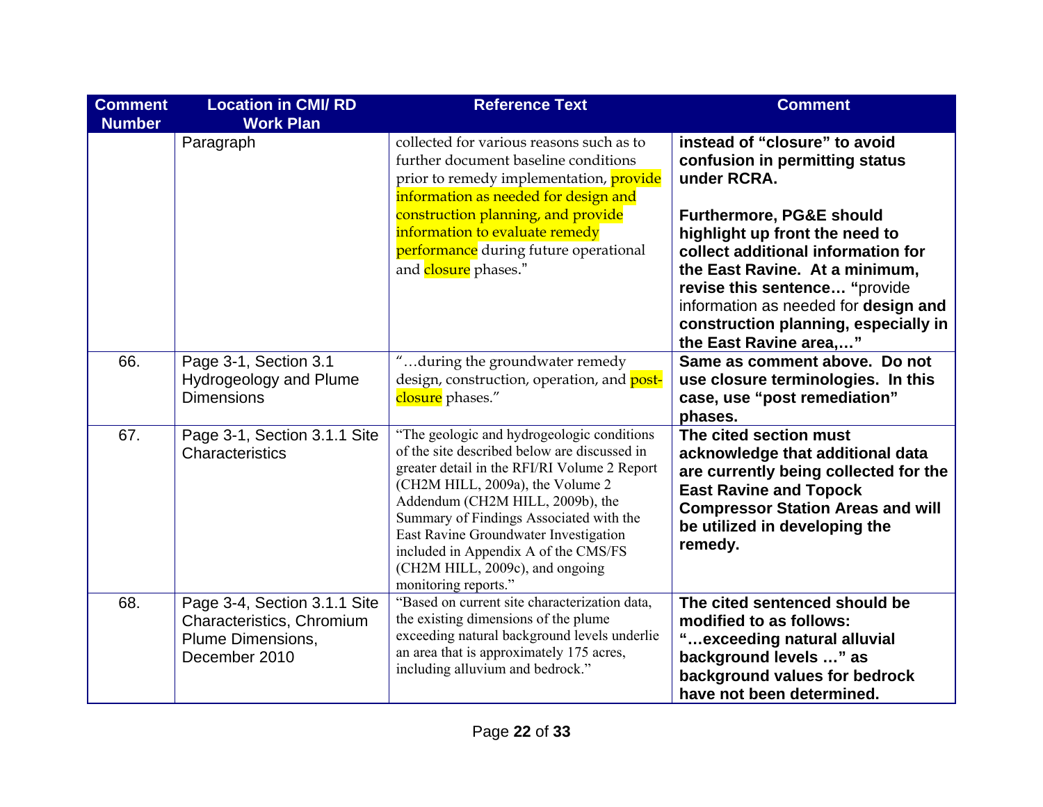| <b>Comment</b><br><b>Number</b> | <b>Location in CMI/RD</b><br><b>Work Plan</b>                                                   | <b>Reference Text</b>                                                                                                                                                                                                                                                                                                                                                                                     | <b>Comment</b>                                                                                                                                                                                                               |
|---------------------------------|-------------------------------------------------------------------------------------------------|-----------------------------------------------------------------------------------------------------------------------------------------------------------------------------------------------------------------------------------------------------------------------------------------------------------------------------------------------------------------------------------------------------------|------------------------------------------------------------------------------------------------------------------------------------------------------------------------------------------------------------------------------|
|                                 | Paragraph                                                                                       | collected for various reasons such as to<br>further document baseline conditions<br>prior to remedy implementation, <i>provide</i><br>information as needed for design and<br>construction planning, and provide<br>information to evaluate remedy<br>performance during future operational                                                                                                               | instead of "closure" to avoid<br>confusion in permitting status<br>under RCRA.<br><b>Furthermore, PG&amp;E should</b><br>highlight up front the need to<br>collect additional information for                                |
|                                 |                                                                                                 | and closure phases."                                                                                                                                                                                                                                                                                                                                                                                      | the East Ravine. At a minimum,<br>revise this sentence "provide<br>information as needed for design and<br>construction planning, especially in<br>the East Ravine area,"                                                    |
| 66.                             | Page 3-1, Section 3.1<br>Hydrogeology and Plume<br><b>Dimensions</b>                            | "during the groundwater remedy<br>design, construction, operation, and post-<br>closure phases."                                                                                                                                                                                                                                                                                                          | Same as comment above. Do not<br>use closure terminologies. In this<br>case, use "post remediation"<br>phases.                                                                                                               |
| 67.                             | Page 3-1, Section 3.1.1 Site<br>Characteristics                                                 | "The geologic and hydrogeologic conditions<br>of the site described below are discussed in<br>greater detail in the RFI/RI Volume 2 Report<br>(CH2M HILL, 2009a), the Volume 2<br>Addendum (CH2M HILL, 2009b), the<br>Summary of Findings Associated with the<br>East Ravine Groundwater Investigation<br>included in Appendix A of the CMS/FS<br>(CH2M HILL, 2009c), and ongoing<br>monitoring reports." | The cited section must<br>acknowledge that additional data<br>are currently being collected for the<br><b>East Ravine and Topock</b><br><b>Compressor Station Areas and will</b><br>be utilized in developing the<br>remedy. |
| 68.                             | Page 3-4, Section 3.1.1 Site<br>Characteristics, Chromium<br>Plume Dimensions,<br>December 2010 | "Based on current site characterization data,<br>the existing dimensions of the plume<br>exceeding natural background levels underlie<br>an area that is approximately 175 acres,<br>including alluvium and bedrock."                                                                                                                                                                                     | The cited sentenced should be<br>modified to as follows:<br>"exceeding natural alluvial<br>background levels " as<br>background values for bedrock<br>have not been determined.                                              |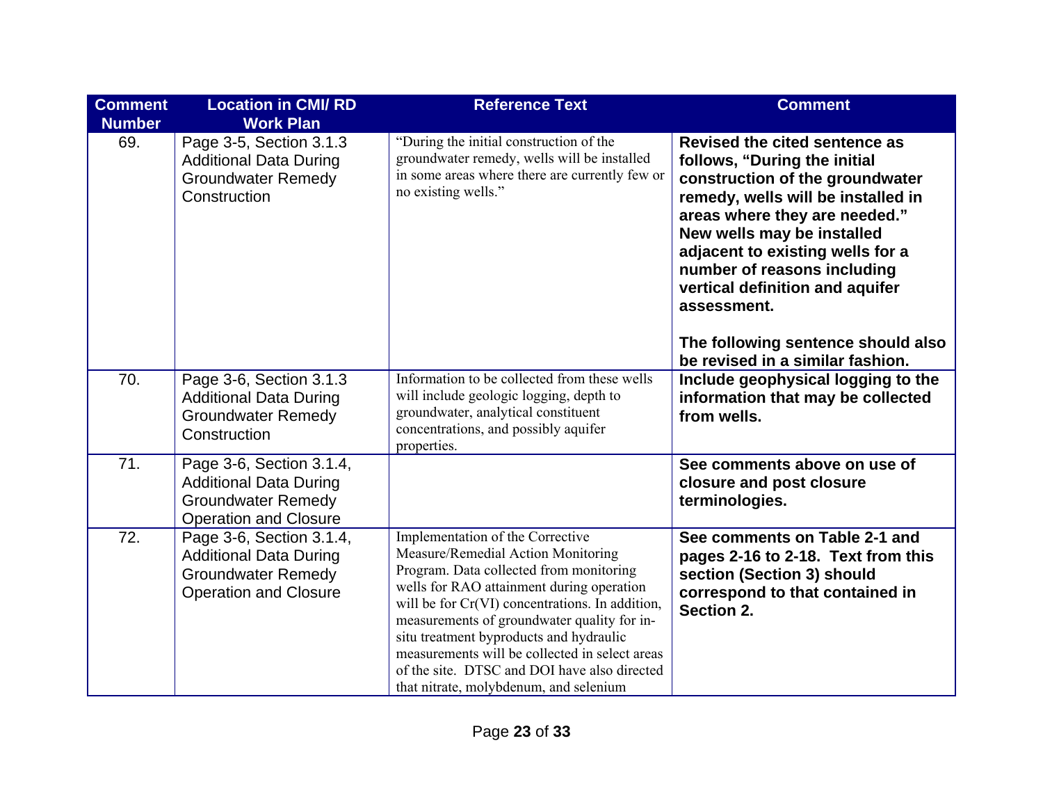| <b>Comment</b><br><b>Number</b> | <b>Location in CMI/RD</b><br><b>Work Plan</b>                                                                          | <b>Reference Text</b>                                                                                                                                                                                                                                                                                                                                                                                                                                   | <b>Comment</b>                                                                                                                                                                                                                                                                                                                                                                                       |
|---------------------------------|------------------------------------------------------------------------------------------------------------------------|---------------------------------------------------------------------------------------------------------------------------------------------------------------------------------------------------------------------------------------------------------------------------------------------------------------------------------------------------------------------------------------------------------------------------------------------------------|------------------------------------------------------------------------------------------------------------------------------------------------------------------------------------------------------------------------------------------------------------------------------------------------------------------------------------------------------------------------------------------------------|
| 69.                             | Page 3-5, Section 3.1.3<br><b>Additional Data During</b><br><b>Groundwater Remedy</b><br>Construction                  | "During the initial construction of the<br>groundwater remedy, wells will be installed<br>in some areas where there are currently few or<br>no existing wells."                                                                                                                                                                                                                                                                                         | Revised the cited sentence as<br>follows, "During the initial<br>construction of the groundwater<br>remedy, wells will be installed in<br>areas where they are needed."<br>New wells may be installed<br>adjacent to existing wells for a<br>number of reasons including<br>vertical definition and aquifer<br>assessment.<br>The following sentence should also<br>be revised in a similar fashion. |
| 70.                             | Page 3-6, Section 3.1.3<br><b>Additional Data During</b><br><b>Groundwater Remedy</b><br>Construction                  | Information to be collected from these wells<br>will include geologic logging, depth to<br>groundwater, analytical constituent<br>concentrations, and possibly aquifer<br>properties.                                                                                                                                                                                                                                                                   | Include geophysical logging to the<br>information that may be collected<br>from wells.                                                                                                                                                                                                                                                                                                               |
| 71.                             | Page 3-6, Section 3.1.4,<br><b>Additional Data During</b><br><b>Groundwater Remedy</b><br><b>Operation and Closure</b> |                                                                                                                                                                                                                                                                                                                                                                                                                                                         | See comments above on use of<br>closure and post closure<br>terminologies.                                                                                                                                                                                                                                                                                                                           |
| 72.                             | Page 3-6, Section 3.1.4,<br><b>Additional Data During</b><br><b>Groundwater Remedy</b><br><b>Operation and Closure</b> | Implementation of the Corrective<br>Measure/Remedial Action Monitoring<br>Program. Data collected from monitoring<br>wells for RAO attainment during operation<br>will be for Cr(VI) concentrations. In addition,<br>measurements of groundwater quality for in-<br>situ treatment byproducts and hydraulic<br>measurements will be collected in select areas<br>of the site. DTSC and DOI have also directed<br>that nitrate, molybdenum, and selenium | See comments on Table 2-1 and<br>pages 2-16 to 2-18. Text from this<br>section (Section 3) should<br>correspond to that contained in<br>Section 2.                                                                                                                                                                                                                                                   |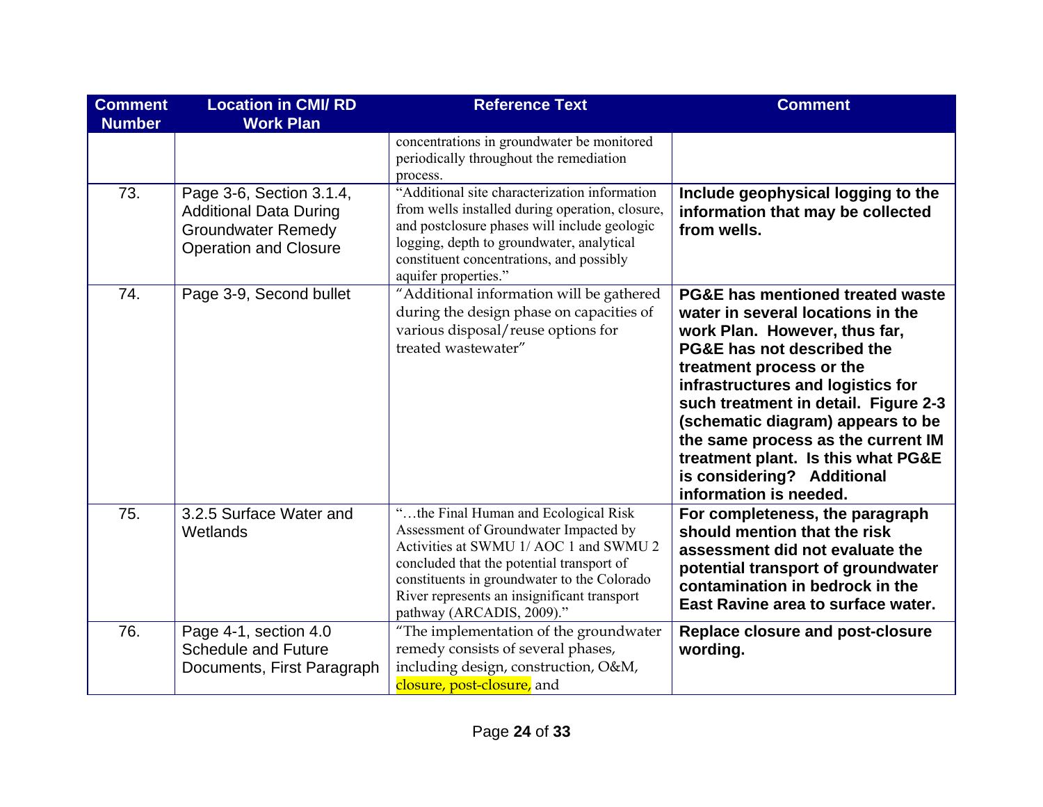| <b>Comment</b><br><b>Number</b> | <b>Location in CMI/RD</b><br><b>Work Plan</b>                                                                          | <b>Reference Text</b>                                                                                                                                                                                                                                                                           | <b>Comment</b>                                                                                                                                                                                                                                                                                                                                                                                                                    |
|---------------------------------|------------------------------------------------------------------------------------------------------------------------|-------------------------------------------------------------------------------------------------------------------------------------------------------------------------------------------------------------------------------------------------------------------------------------------------|-----------------------------------------------------------------------------------------------------------------------------------------------------------------------------------------------------------------------------------------------------------------------------------------------------------------------------------------------------------------------------------------------------------------------------------|
|                                 |                                                                                                                        | concentrations in groundwater be monitored<br>periodically throughout the remediation<br>process.                                                                                                                                                                                               |                                                                                                                                                                                                                                                                                                                                                                                                                                   |
| 73.                             | Page 3-6, Section 3.1.4,<br><b>Additional Data During</b><br><b>Groundwater Remedy</b><br><b>Operation and Closure</b> | "Additional site characterization information<br>from wells installed during operation, closure,<br>and postclosure phases will include geologic<br>logging, depth to groundwater, analytical<br>constituent concentrations, and possibly<br>aquifer properties."                               | Include geophysical logging to the<br>information that may be collected<br>from wells.                                                                                                                                                                                                                                                                                                                                            |
| 74.                             | Page 3-9, Second bullet                                                                                                | "Additional information will be gathered<br>during the design phase on capacities of<br>various disposal/reuse options for<br>treated wastewater"                                                                                                                                               | <b>PG&amp;E has mentioned treated waste</b><br>water in several locations in the<br>work Plan. However, thus far,<br>PG&E has not described the<br>treatment process or the<br>infrastructures and logistics for<br>such treatment in detail. Figure 2-3<br>(schematic diagram) appears to be<br>the same process as the current IM<br>treatment plant. Is this what PG&E<br>is considering? Additional<br>information is needed. |
| 75.                             | 3.2.5 Surface Water and<br>Wetlands                                                                                    | "the Final Human and Ecological Risk<br>Assessment of Groundwater Impacted by<br>Activities at SWMU 1/ AOC 1 and SWMU 2<br>concluded that the potential transport of<br>constituents in groundwater to the Colorado<br>River represents an insignificant transport<br>pathway (ARCADIS, 2009)." | For completeness, the paragraph<br>should mention that the risk<br>assessment did not evaluate the<br>potential transport of groundwater<br>contamination in bedrock in the<br>East Ravine area to surface water.                                                                                                                                                                                                                 |
| 76.                             | Page 4-1, section 4.0<br><b>Schedule and Future</b><br>Documents, First Paragraph                                      | "The implementation of the groundwater<br>remedy consists of several phases,<br>including design, construction, O&M,<br>closure, post-closure, and                                                                                                                                              | <b>Replace closure and post-closure</b><br>wording.                                                                                                                                                                                                                                                                                                                                                                               |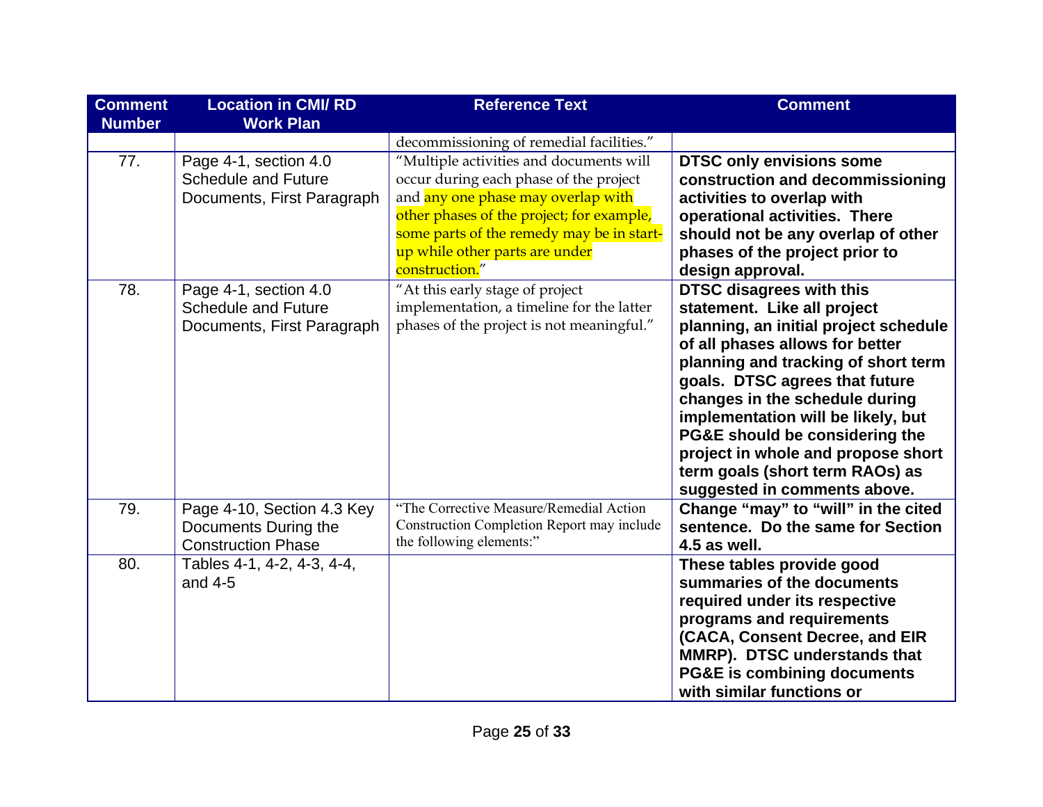| <b>Comment</b><br><b>Number</b> | <b>Location in CMI/RD</b><br><b>Work Plan</b>                                     | <b>Reference Text</b>                                                                                                                                                                                                                                                 | <b>Comment</b>                                                                                                                                                                                                                                                                                                                                                                                                                         |
|---------------------------------|-----------------------------------------------------------------------------------|-----------------------------------------------------------------------------------------------------------------------------------------------------------------------------------------------------------------------------------------------------------------------|----------------------------------------------------------------------------------------------------------------------------------------------------------------------------------------------------------------------------------------------------------------------------------------------------------------------------------------------------------------------------------------------------------------------------------------|
|                                 |                                                                                   | decommissioning of remedial facilities."                                                                                                                                                                                                                              |                                                                                                                                                                                                                                                                                                                                                                                                                                        |
| 77.                             | Page 4-1, section 4.0<br><b>Schedule and Future</b><br>Documents, First Paragraph | "Multiple activities and documents will<br>occur during each phase of the project<br>and any one phase may overlap with<br>other phases of the project; for example,<br>some parts of the remedy may be in start-<br>up while other parts are under<br>construction." | <b>DTSC only envisions some</b><br>construction and decommissioning<br>activities to overlap with<br>operational activities. There<br>should not be any overlap of other<br>phases of the project prior to<br>design approval.                                                                                                                                                                                                         |
| 78.                             | Page 4-1, section 4.0<br><b>Schedule and Future</b><br>Documents, First Paragraph | "At this early stage of project<br>implementation, a timeline for the latter<br>phases of the project is not meaningful."                                                                                                                                             | <b>DTSC disagrees with this</b><br>statement. Like all project<br>planning, an initial project schedule<br>of all phases allows for better<br>planning and tracking of short term<br>goals. DTSC agrees that future<br>changes in the schedule during<br>implementation will be likely, but<br>PG&E should be considering the<br>project in whole and propose short<br>term goals (short term RAOs) as<br>suggested in comments above. |
| 79.                             | Page 4-10, Section 4.3 Key<br>Documents During the<br><b>Construction Phase</b>   | "The Corrective Measure/Remedial Action<br><b>Construction Completion Report may include</b><br>the following elements:"                                                                                                                                              | Change "may" to "will" in the cited<br>sentence. Do the same for Section<br>4.5 as well.                                                                                                                                                                                                                                                                                                                                               |
| 80.                             | Tables 4-1, 4-2, 4-3, 4-4,<br>and $4-5$                                           |                                                                                                                                                                                                                                                                       | These tables provide good<br>summaries of the documents<br>required under its respective<br>programs and requirements<br>(CACA, Consent Decree, and EIR<br>MMRP). DTSC understands that<br><b>PG&amp;E is combining documents</b><br>with similar functions or                                                                                                                                                                         |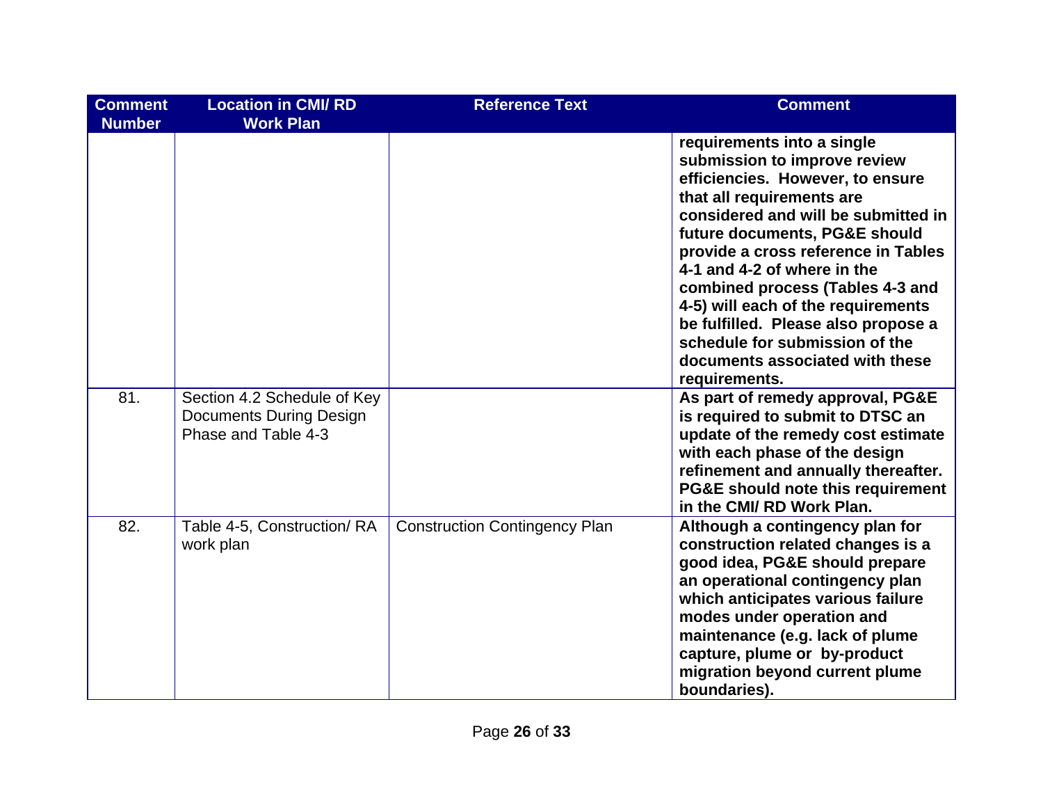| <b>Comment</b><br><b>Number</b> | <b>Location in CMI/RD</b><br><b>Work Plan</b>                                        | <b>Reference Text</b>                | <b>Comment</b>                                                                                                                                                                                                                                                                                                                                                                                                                                                                   |
|---------------------------------|--------------------------------------------------------------------------------------|--------------------------------------|----------------------------------------------------------------------------------------------------------------------------------------------------------------------------------------------------------------------------------------------------------------------------------------------------------------------------------------------------------------------------------------------------------------------------------------------------------------------------------|
|                                 |                                                                                      |                                      | requirements into a single<br>submission to improve review<br>efficiencies. However, to ensure<br>that all requirements are<br>considered and will be submitted in<br>future documents, PG&E should<br>provide a cross reference in Tables<br>4-1 and 4-2 of where in the<br>combined process (Tables 4-3 and<br>4-5) will each of the requirements<br>be fulfilled. Please also propose a<br>schedule for submission of the<br>documents associated with these<br>requirements. |
| 81.                             | Section 4.2 Schedule of Key<br><b>Documents During Design</b><br>Phase and Table 4-3 |                                      | As part of remedy approval, PG&E<br>is required to submit to DTSC an<br>update of the remedy cost estimate<br>with each phase of the design<br>refinement and annually thereafter.<br>PG&E should note this requirement<br>in the CMI/ RD Work Plan.                                                                                                                                                                                                                             |
| 82.                             | Table 4-5, Construction/RA<br>work plan                                              | <b>Construction Contingency Plan</b> | Although a contingency plan for<br>construction related changes is a<br>good idea, PG&E should prepare<br>an operational contingency plan<br>which anticipates various failure<br>modes under operation and<br>maintenance (e.g. lack of plume<br>capture, plume or by-product<br>migration beyond current plume<br>boundaries).                                                                                                                                                 |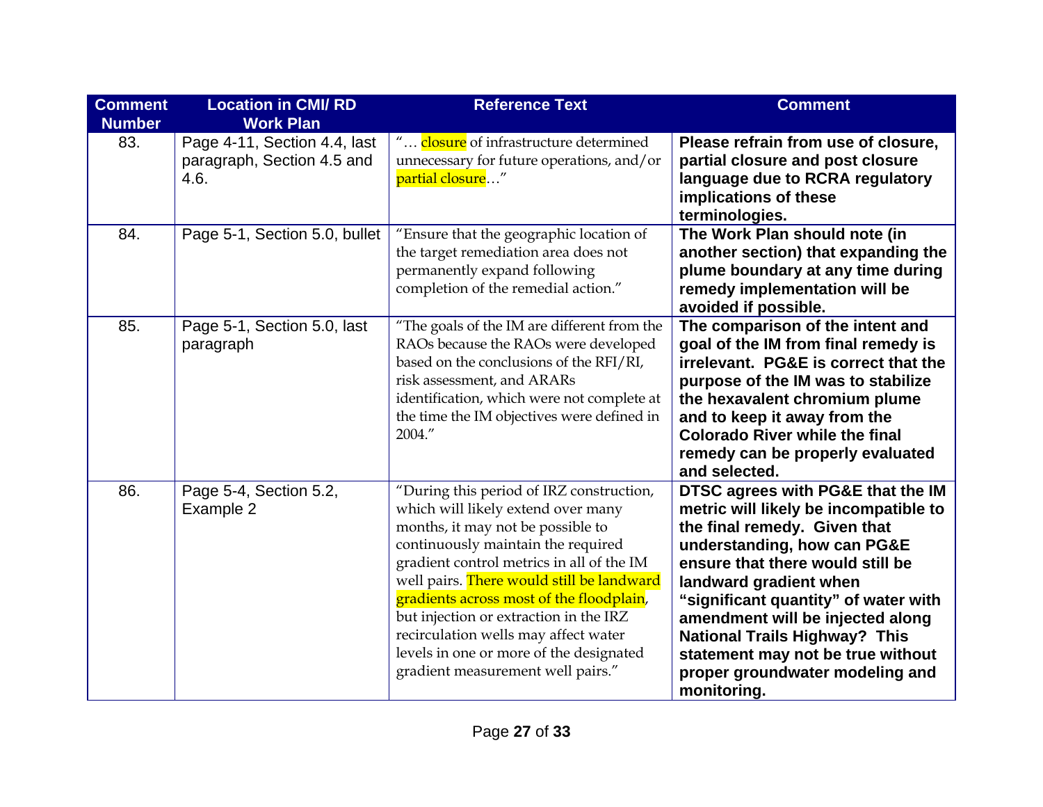| <b>Comment</b><br><b>Number</b> | <b>Location in CMI/RD</b><br><b>Work Plan</b>                      | <b>Reference Text</b>                                                                                                                                                                                                                                                                                                                                                                                                                                             | <b>Comment</b>                                                                                                                                                                                                                                                                                                                                                                                                     |
|---------------------------------|--------------------------------------------------------------------|-------------------------------------------------------------------------------------------------------------------------------------------------------------------------------------------------------------------------------------------------------------------------------------------------------------------------------------------------------------------------------------------------------------------------------------------------------------------|--------------------------------------------------------------------------------------------------------------------------------------------------------------------------------------------------------------------------------------------------------------------------------------------------------------------------------------------------------------------------------------------------------------------|
| 83.                             | Page 4-11, Section 4.4, last<br>paragraph, Section 4.5 and<br>4.6. | " closure of infrastructure determined<br>unnecessary for future operations, and/or<br>partial closure"                                                                                                                                                                                                                                                                                                                                                           | Please refrain from use of closure,<br>partial closure and post closure<br>language due to RCRA regulatory<br>implications of these<br>terminologies.                                                                                                                                                                                                                                                              |
| 84.                             | Page 5-1, Section 5.0, bullet                                      | "Ensure that the geographic location of<br>the target remediation area does not<br>permanently expand following<br>completion of the remedial action."                                                                                                                                                                                                                                                                                                            | The Work Plan should note (in<br>another section) that expanding the<br>plume boundary at any time during<br>remedy implementation will be<br>avoided if possible.                                                                                                                                                                                                                                                 |
| 85.                             | Page 5-1, Section 5.0, last<br>paragraph                           | "The goals of the IM are different from the<br>RAOs because the RAOs were developed<br>based on the conclusions of the RFI/RI,<br>risk assessment, and ARARs<br>identification, which were not complete at<br>the time the IM objectives were defined in<br>2004."                                                                                                                                                                                                | The comparison of the intent and<br>goal of the IM from final remedy is<br>irrelevant. PG&E is correct that the<br>purpose of the IM was to stabilize<br>the hexavalent chromium plume<br>and to keep it away from the<br><b>Colorado River while the final</b><br>remedy can be properly evaluated<br>and selected.                                                                                               |
| 86.                             | Page 5-4, Section 5.2,<br>Example 2                                | "During this period of IRZ construction,<br>which will likely extend over many<br>months, it may not be possible to<br>continuously maintain the required<br>gradient control metrics in all of the IM<br>well pairs. There would still be landward<br>gradients across most of the floodplain,<br>but injection or extraction in the IRZ<br>recirculation wells may affect water<br>levels in one or more of the designated<br>gradient measurement well pairs." | DTSC agrees with PG&E that the IM<br>metric will likely be incompatible to<br>the final remedy. Given that<br>understanding, how can PG&E<br>ensure that there would still be<br>landward gradient when<br>"significant quantity" of water with<br>amendment will be injected along<br><b>National Trails Highway? This</b><br>statement may not be true without<br>proper groundwater modeling and<br>monitoring. |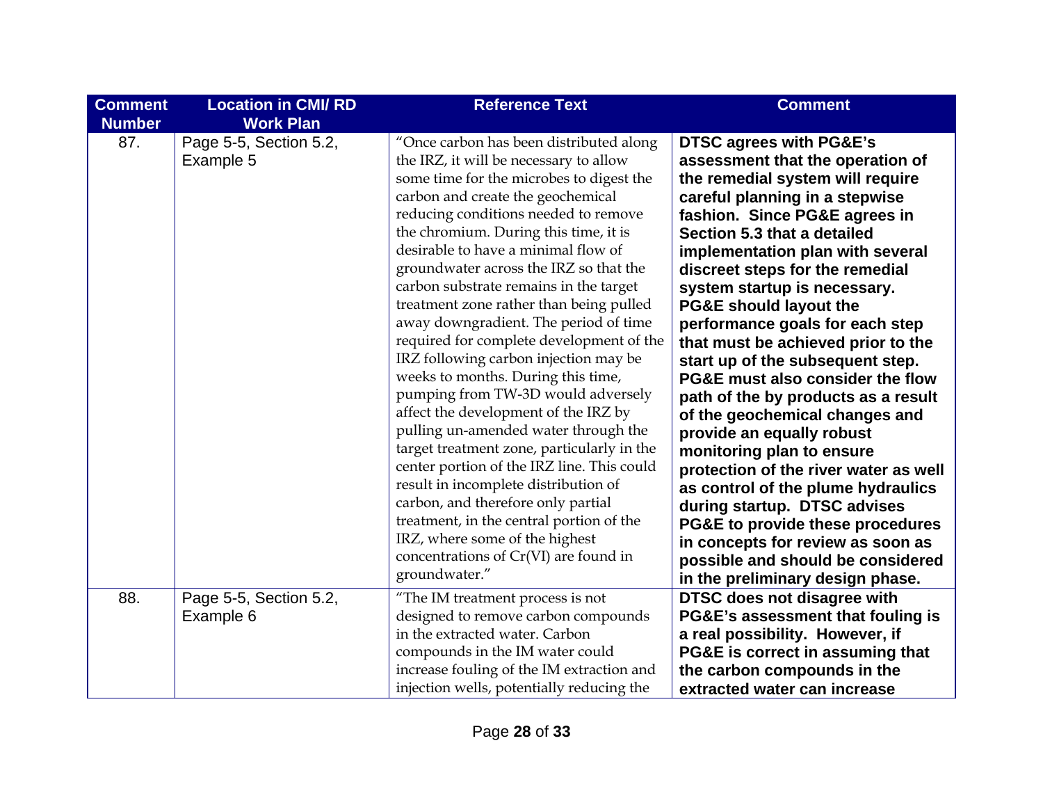| <b>Comment</b><br><b>Number</b> | <b>Location in CMI/RD</b><br><b>Work Plan</b> | <b>Reference Text</b>                                                                                                                                                                                                                                                                                                                                                                                                                                                                                                                                                                                                                                                                                                                                                                                                                                                                                                                                                                                                                 | <b>Comment</b>                                                                                                                                                                                                                                                                                                                                                                                                                                                                                                                                                                                                                                                                                                                                                                                                                                                                                                |
|---------------------------------|-----------------------------------------------|---------------------------------------------------------------------------------------------------------------------------------------------------------------------------------------------------------------------------------------------------------------------------------------------------------------------------------------------------------------------------------------------------------------------------------------------------------------------------------------------------------------------------------------------------------------------------------------------------------------------------------------------------------------------------------------------------------------------------------------------------------------------------------------------------------------------------------------------------------------------------------------------------------------------------------------------------------------------------------------------------------------------------------------|---------------------------------------------------------------------------------------------------------------------------------------------------------------------------------------------------------------------------------------------------------------------------------------------------------------------------------------------------------------------------------------------------------------------------------------------------------------------------------------------------------------------------------------------------------------------------------------------------------------------------------------------------------------------------------------------------------------------------------------------------------------------------------------------------------------------------------------------------------------------------------------------------------------|
| 87.                             | Page 5-5, Section 5.2,<br>Example 5           | "Once carbon has been distributed along<br>the IRZ, it will be necessary to allow<br>some time for the microbes to digest the<br>carbon and create the geochemical<br>reducing conditions needed to remove<br>the chromium. During this time, it is<br>desirable to have a minimal flow of<br>groundwater across the IRZ so that the<br>carbon substrate remains in the target<br>treatment zone rather than being pulled<br>away downgradient. The period of time<br>required for complete development of the<br>IRZ following carbon injection may be<br>weeks to months. During this time,<br>pumping from TW-3D would adversely<br>affect the development of the IRZ by<br>pulling un-amended water through the<br>target treatment zone, particularly in the<br>center portion of the IRZ line. This could<br>result in incomplete distribution of<br>carbon, and therefore only partial<br>treatment, in the central portion of the<br>IRZ, where some of the highest<br>concentrations of Cr(VI) are found in<br>groundwater." | <b>DTSC agrees with PG&amp;E's</b><br>assessment that the operation of<br>the remedial system will require<br>careful planning in a stepwise<br>fashion. Since PG&E agrees in<br>Section 5.3 that a detailed<br>implementation plan with several<br>discreet steps for the remedial<br>system startup is necessary.<br><b>PG&amp;E should layout the</b><br>performance goals for each step<br>that must be achieved prior to the<br>start up of the subsequent step.<br>PG&E must also consider the flow<br>path of the by products as a result<br>of the geochemical changes and<br>provide an equally robust<br>monitoring plan to ensure<br>protection of the river water as well<br>as control of the plume hydraulics<br>during startup. DTSC advises<br>PG&E to provide these procedures<br>in concepts for review as soon as<br>possible and should be considered<br>in the preliminary design phase. |
| 88.                             | Page 5-5, Section 5.2,<br>Example 6           | "The IM treatment process is not<br>designed to remove carbon compounds<br>in the extracted water. Carbon<br>compounds in the IM water could<br>increase fouling of the IM extraction and                                                                                                                                                                                                                                                                                                                                                                                                                                                                                                                                                                                                                                                                                                                                                                                                                                             | DTSC does not disagree with<br>PG&E's assessment that fouling is<br>a real possibility. However, if<br>PG&E is correct in assuming that<br>the carbon compounds in the                                                                                                                                                                                                                                                                                                                                                                                                                                                                                                                                                                                                                                                                                                                                        |
|                                 |                                               | injection wells, potentially reducing the                                                                                                                                                                                                                                                                                                                                                                                                                                                                                                                                                                                                                                                                                                                                                                                                                                                                                                                                                                                             | extracted water can increase                                                                                                                                                                                                                                                                                                                                                                                                                                                                                                                                                                                                                                                                                                                                                                                                                                                                                  |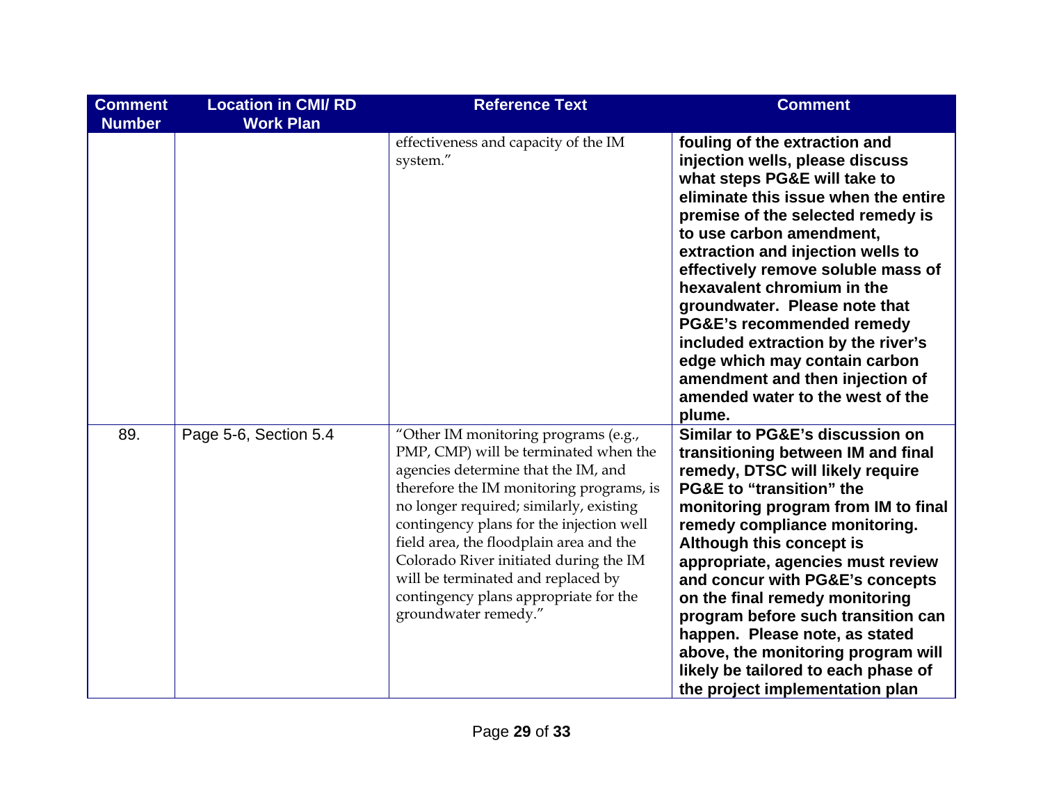| <b>Comment</b><br><b>Number</b> | <b>Location in CMI/RD</b><br><b>Work Plan</b> | <b>Reference Text</b>                                                                                                                                                                                                                                                                                                                                                                                                                               | <b>Comment</b>                                                                                                                                                                                                                                                                                                                                                                                                                                                                                                                                         |
|---------------------------------|-----------------------------------------------|-----------------------------------------------------------------------------------------------------------------------------------------------------------------------------------------------------------------------------------------------------------------------------------------------------------------------------------------------------------------------------------------------------------------------------------------------------|--------------------------------------------------------------------------------------------------------------------------------------------------------------------------------------------------------------------------------------------------------------------------------------------------------------------------------------------------------------------------------------------------------------------------------------------------------------------------------------------------------------------------------------------------------|
|                                 |                                               | effectiveness and capacity of the IM<br>system."                                                                                                                                                                                                                                                                                                                                                                                                    | fouling of the extraction and<br>injection wells, please discuss<br>what steps PG&E will take to<br>eliminate this issue when the entire<br>premise of the selected remedy is<br>to use carbon amendment,<br>extraction and injection wells to<br>effectively remove soluble mass of<br>hexavalent chromium in the<br>groundwater. Please note that<br>PG&E's recommended remedy<br>included extraction by the river's<br>edge which may contain carbon<br>amendment and then injection of<br>amended water to the west of the<br>plume.               |
| 89.                             | Page 5-6, Section 5.4                         | "Other IM monitoring programs (e.g.,<br>PMP, CMP) will be terminated when the<br>agencies determine that the IM, and<br>therefore the IM monitoring programs, is<br>no longer required; similarly, existing<br>contingency plans for the injection well<br>field area, the floodplain area and the<br>Colorado River initiated during the IM<br>will be terminated and replaced by<br>contingency plans appropriate for the<br>groundwater remedy." | Similar to PG&E's discussion on<br>transitioning between IM and final<br>remedy, DTSC will likely require<br><b>PG&amp;E to "transition" the</b><br>monitoring program from IM to final<br>remedy compliance monitoring.<br>Although this concept is<br>appropriate, agencies must review<br>and concur with PG&E's concepts<br>on the final remedy monitoring<br>program before such transition can<br>happen. Please note, as stated<br>above, the monitoring program will<br>likely be tailored to each phase of<br>the project implementation plan |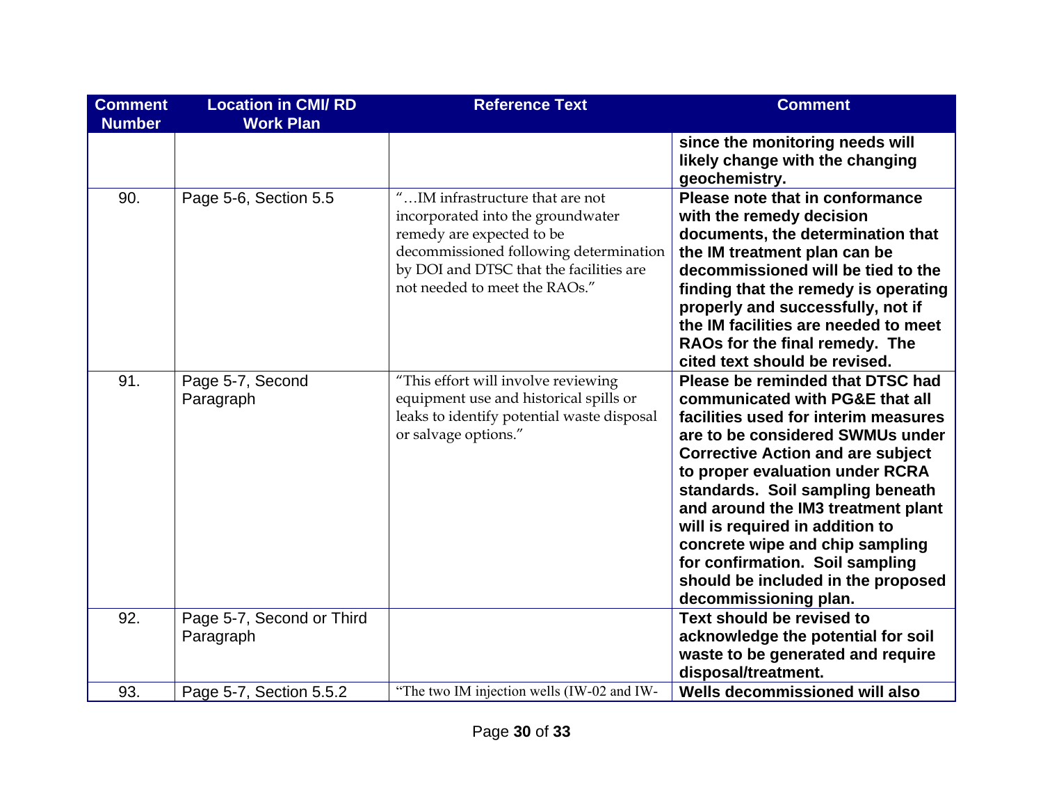| <b>Comment</b><br><b>Number</b> | <b>Location in CMI/RD</b><br><b>Work Plan</b> | <b>Reference Text</b>                                                                                                                                                                                                   | <b>Comment</b>                                                                                                                                                                                                                                                                                                                                                                                                                                                                   |
|---------------------------------|-----------------------------------------------|-------------------------------------------------------------------------------------------------------------------------------------------------------------------------------------------------------------------------|----------------------------------------------------------------------------------------------------------------------------------------------------------------------------------------------------------------------------------------------------------------------------------------------------------------------------------------------------------------------------------------------------------------------------------------------------------------------------------|
|                                 |                                               |                                                                                                                                                                                                                         | since the monitoring needs will<br>likely change with the changing<br>geochemistry.                                                                                                                                                                                                                                                                                                                                                                                              |
| 90.                             | Page 5-6, Section 5.5                         | "IM infrastructure that are not<br>incorporated into the groundwater<br>remedy are expected to be<br>decommissioned following determination<br>by DOI and DTSC that the facilities are<br>not needed to meet the RAOs." | Please note that in conformance<br>with the remedy decision<br>documents, the determination that<br>the IM treatment plan can be<br>decommissioned will be tied to the<br>finding that the remedy is operating<br>properly and successfully, not if<br>the IM facilities are needed to meet<br>RAOs for the final remedy. The<br>cited text should be revised.                                                                                                                   |
| 91.                             | Page 5-7, Second<br>Paragraph                 | "This effort will involve reviewing<br>equipment use and historical spills or<br>leaks to identify potential waste disposal<br>or salvage options."                                                                     | Please be reminded that DTSC had<br>communicated with PG&E that all<br>facilities used for interim measures<br>are to be considered SWMUs under<br><b>Corrective Action and are subject</b><br>to proper evaluation under RCRA<br>standards. Soil sampling beneath<br>and around the IM3 treatment plant<br>will is required in addition to<br>concrete wipe and chip sampling<br>for confirmation. Soil sampling<br>should be included in the proposed<br>decommissioning plan. |
| 92.                             | Page 5-7, Second or Third<br>Paragraph        |                                                                                                                                                                                                                         | Text should be revised to<br>acknowledge the potential for soil<br>waste to be generated and require<br>disposal/treatment.                                                                                                                                                                                                                                                                                                                                                      |
| 93.                             | Page 5-7, Section 5.5.2                       | "The two IM injection wells (IW-02 and IW-                                                                                                                                                                              | Wells decommissioned will also                                                                                                                                                                                                                                                                                                                                                                                                                                                   |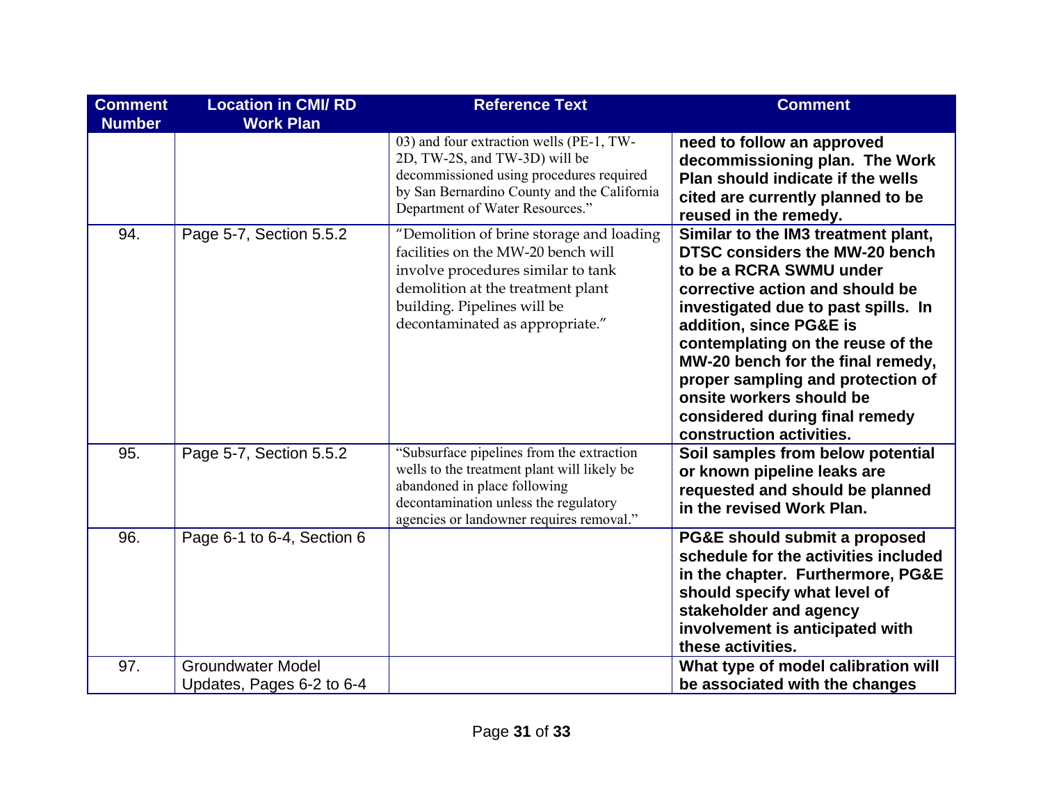| <b>Comment</b><br><b>Number</b> | <b>Location in CMI/RD</b><br><b>Work Plan</b>         | <b>Reference Text</b>                                                                                                                                                                                                       | <b>Comment</b>                                                                                                                                                                                                                                                                                                                                                                                                        |
|---------------------------------|-------------------------------------------------------|-----------------------------------------------------------------------------------------------------------------------------------------------------------------------------------------------------------------------------|-----------------------------------------------------------------------------------------------------------------------------------------------------------------------------------------------------------------------------------------------------------------------------------------------------------------------------------------------------------------------------------------------------------------------|
|                                 |                                                       | 03) and four extraction wells (PE-1, TW-<br>2D, TW-2S, and TW-3D) will be<br>decommissioned using procedures required<br>by San Bernardino County and the California<br>Department of Water Resources."                     | need to follow an approved<br>decommissioning plan. The Work<br>Plan should indicate if the wells<br>cited are currently planned to be<br>reused in the remedy.                                                                                                                                                                                                                                                       |
| 94.                             | Page 5-7, Section 5.5.2                               | "Demolition of brine storage and loading<br>facilities on the MW-20 bench will<br>involve procedures similar to tank<br>demolition at the treatment plant<br>building. Pipelines will be<br>decontaminated as appropriate." | Similar to the IM3 treatment plant,<br><b>DTSC considers the MW-20 bench</b><br>to be a RCRA SWMU under<br>corrective action and should be<br>investigated due to past spills. In<br>addition, since PG&E is<br>contemplating on the reuse of the<br>MW-20 bench for the final remedy,<br>proper sampling and protection of<br>onsite workers should be<br>considered during final remedy<br>construction activities. |
| 95.                             | Page 5-7, Section 5.5.2                               | "Subsurface pipelines from the extraction<br>wells to the treatment plant will likely be<br>abandoned in place following<br>decontamination unless the regulatory<br>agencies or landowner requires removal."               | Soil samples from below potential<br>or known pipeline leaks are<br>requested and should be planned<br>in the revised Work Plan.                                                                                                                                                                                                                                                                                      |
| 96.                             | Page 6-1 to 6-4, Section 6                            |                                                                                                                                                                                                                             | PG&E should submit a proposed<br>schedule for the activities included<br>in the chapter. Furthermore, PG&E<br>should specify what level of<br>stakeholder and agency<br>involvement is anticipated with<br>these activities.                                                                                                                                                                                          |
| 97.                             | <b>Groundwater Model</b><br>Updates, Pages 6-2 to 6-4 |                                                                                                                                                                                                                             | What type of model calibration will<br>be associated with the changes                                                                                                                                                                                                                                                                                                                                                 |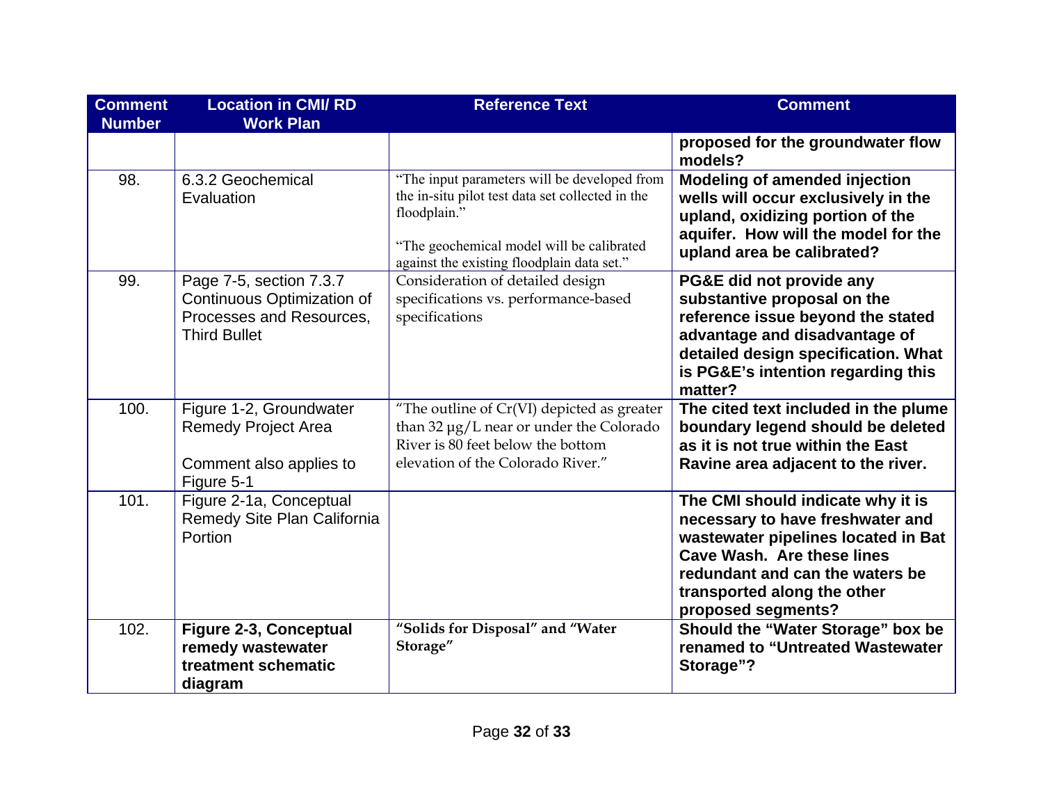| <b>Comment</b><br><b>Number</b> | <b>Location in CMI/RD</b><br><b>Work Plan</b>                                                            | <b>Reference Text</b>                                                                                                                                                                                       | <b>Comment</b>                                                                                                                                                                                                                            |
|---------------------------------|----------------------------------------------------------------------------------------------------------|-------------------------------------------------------------------------------------------------------------------------------------------------------------------------------------------------------------|-------------------------------------------------------------------------------------------------------------------------------------------------------------------------------------------------------------------------------------------|
|                                 |                                                                                                          |                                                                                                                                                                                                             | proposed for the groundwater flow<br>models?                                                                                                                                                                                              |
| 98.                             | 6.3.2 Geochemical<br>Evaluation                                                                          | "The input parameters will be developed from<br>the in-situ pilot test data set collected in the<br>floodplain."<br>"The geochemical model will be calibrated<br>against the existing floodplain data set." | <b>Modeling of amended injection</b><br>wells will occur exclusively in the<br>upland, oxidizing portion of the<br>aquifer. How will the model for the<br>upland area be calibrated?                                                      |
| 99.                             | Page 7-5, section 7.3.7<br>Continuous Optimization of<br>Processes and Resources,<br><b>Third Bullet</b> | Consideration of detailed design<br>specifications vs. performance-based<br>specifications                                                                                                                  | PG&E did not provide any<br>substantive proposal on the<br>reference issue beyond the stated<br>advantage and disadvantage of<br>detailed design specification. What<br>is PG&E's intention regarding this<br>matter?                     |
| 100.                            | Figure 1-2, Groundwater<br><b>Remedy Project Area</b><br>Comment also applies to<br>Figure 5-1           | "The outline of $Cr(VI)$ depicted as greater<br>than 32 µg/L near or under the Colorado<br>River is 80 feet below the bottom<br>elevation of the Colorado River."                                           | The cited text included in the plume<br>boundary legend should be deleted<br>as it is not true within the East<br>Ravine area adjacent to the river.                                                                                      |
| 101.                            | Figure 2-1a, Conceptual<br>Remedy Site Plan California<br>Portion                                        |                                                                                                                                                                                                             | The CMI should indicate why it is<br>necessary to have freshwater and<br>wastewater pipelines located in Bat<br><b>Cave Wash. Are these lines</b><br>redundant and can the waters be<br>transported along the other<br>proposed segments? |
| 102.                            | <b>Figure 2-3, Conceptual</b><br>remedy wastewater<br>treatment schematic<br>diagram                     | "Solids for Disposal" and "Water<br>Storage"                                                                                                                                                                | Should the "Water Storage" box be<br>renamed to "Untreated Wastewater<br>Storage"?                                                                                                                                                        |